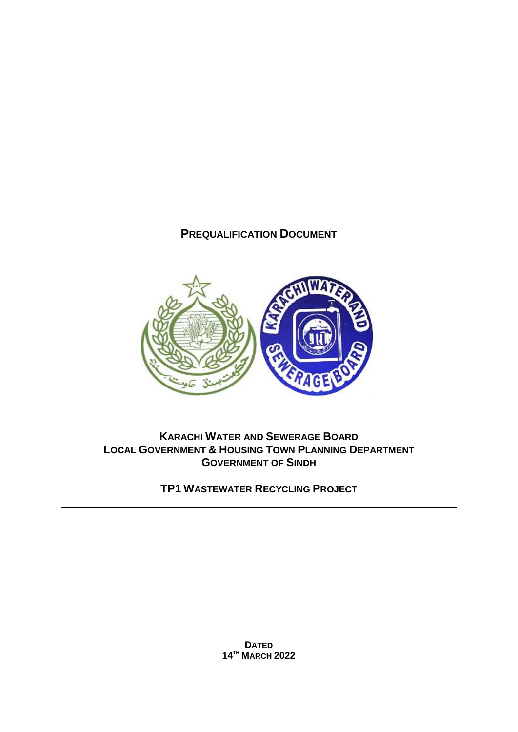# **PREQUALIFICATION DOCUMENT**



# **KARACHI WATER AND SEWERAGE BOARD LOCAL GOVERNMENT & HOUSING TOWN PLANNING DEPARTMENT GOVERNMENT OF SINDH**

**TP1 WASTEWATER RECYCLING PROJECT**

**DATED 14TH MARCH 2022**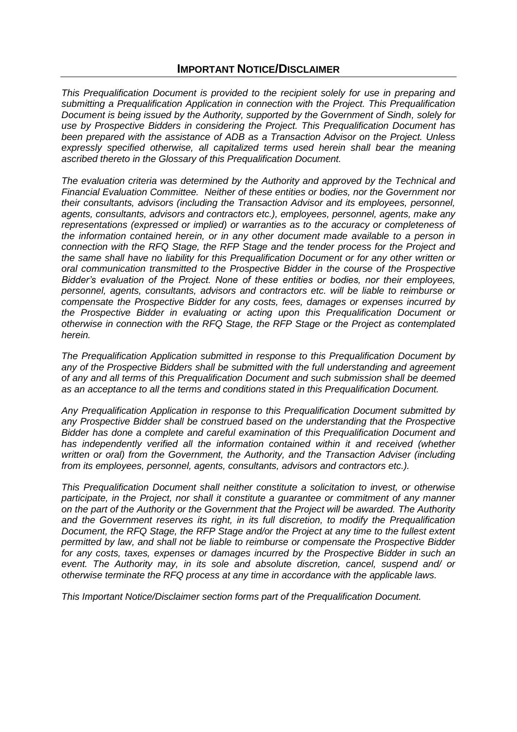## **IMPORTANT NOTICE/DISCLAIMER**

*This Prequalification Document is provided to the recipient solely for use in preparing and submitting a Prequalification Application in connection with the Project. This Prequalification Document is being issued by the Authority, supported by the Government of Sindh, solely for use by Prospective Bidders in considering the Project. This Prequalification Document has been prepared with the assistance of ADB as a Transaction Advisor on the Project. Unless expressly specified otherwise, all capitalized terms used herein shall bear the meaning ascribed thereto in the Glossary of this Prequalification Document.*

*The evaluation criteria was determined by the Authority and approved by the Technical and Financial Evaluation Committee. Neither of these entities or bodies, nor the Government nor their consultants, advisors (including the Transaction Advisor and its employees, personnel, agents, consultants, advisors and contractors etc.), employees, personnel, agents, make any representations (expressed or implied) or warranties as to the accuracy or completeness of the information contained herein, or in any other document made available to a person in connection with the RFQ Stage, the RFP Stage and the tender process for the Project and the same shall have no liability for this Prequalification Document or for any other written or oral communication transmitted to the Prospective Bidder in the course of the Prospective Bidder's evaluation of the Project. None of these entities or bodies, nor their employees, personnel, agents, consultants, advisors and contractors etc. will be liable to reimburse or compensate the Prospective Bidder for any costs, fees, damages or expenses incurred by the Prospective Bidder in evaluating or acting upon this Prequalification Document or otherwise in connection with the RFQ Stage, the RFP Stage or the Project as contemplated herein.*

*The Prequalification Application submitted in response to this Prequalification Document by any of the Prospective Bidders shall be submitted with the full understanding and agreement of any and all terms of this Prequalification Document and such submission shall be deemed as an acceptance to all the terms and conditions stated in this Prequalification Document.* 

*Any Prequalification Application in response to this Prequalification Document submitted by any Prospective Bidder shall be construed based on the understanding that the Prospective Bidder has done a complete and careful examination of this Prequalification Document and*  has independently verified all the information contained within it and received (whether *written or oral) from the Government, the Authority, and the Transaction Adviser (including from its employees, personnel, agents, consultants, advisors and contractors etc.).*

*This Prequalification Document shall neither constitute a solicitation to invest, or otherwise participate, in the Project, nor shall it constitute a guarantee or commitment of any manner on the part of the Authority or the Government that the Project will be awarded. The Authority and the Government reserves its right, in its full discretion, to modify the Prequalification Document, the RFQ Stage, the RFP Stage and/or the Project at any time to the fullest extent permitted by law, and shall not be liable to reimburse or compensate the Prospective Bidder*  for any costs, taxes, expenses or damages incurred by the Prospective Bidder in such an *event. The Authority may, in its sole and absolute discretion, cancel, suspend and/ or otherwise terminate the RFQ process at any time in accordance with the applicable laws.*

*This Important Notice/Disclaimer section forms part of the Prequalification Document.*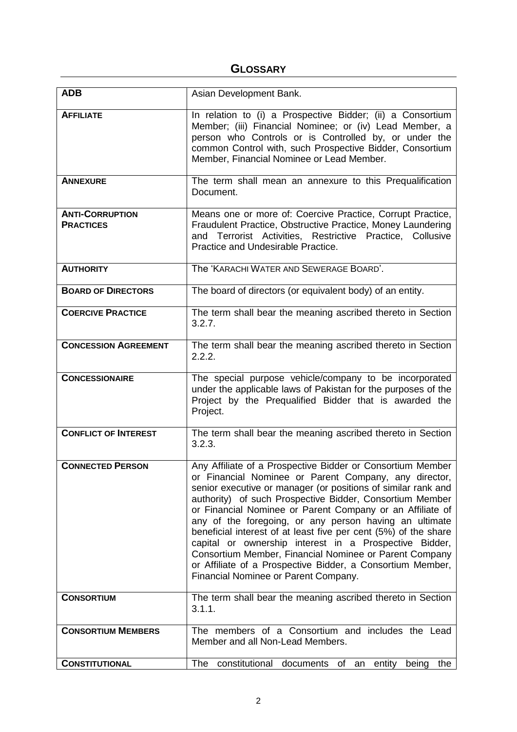# **GLOSSARY**

| <b>ADB</b>                                 | Asian Development Bank.                                                                                                                                                                                                                                                                                                                                                                                                                                                                                                                                                                                                                                              |
|--------------------------------------------|----------------------------------------------------------------------------------------------------------------------------------------------------------------------------------------------------------------------------------------------------------------------------------------------------------------------------------------------------------------------------------------------------------------------------------------------------------------------------------------------------------------------------------------------------------------------------------------------------------------------------------------------------------------------|
| <b>AFFILIATE</b>                           | In relation to (i) a Prospective Bidder; (ii) a Consortium<br>Member; (iii) Financial Nominee; or (iv) Lead Member, a<br>person who Controls or is Controlled by, or under the<br>common Control with, such Prospective Bidder, Consortium<br>Member, Financial Nominee or Lead Member.                                                                                                                                                                                                                                                                                                                                                                              |
| <b>ANNEXURE</b>                            | The term shall mean an annexure to this Prequalification<br>Document.                                                                                                                                                                                                                                                                                                                                                                                                                                                                                                                                                                                                |
| <b>ANTI-CORRUPTION</b><br><b>PRACTICES</b> | Means one or more of: Coercive Practice, Corrupt Practice,<br>Fraudulent Practice, Obstructive Practice, Money Laundering<br>and Terrorist Activities, Restrictive Practice, Collusive<br>Practice and Undesirable Practice.                                                                                                                                                                                                                                                                                                                                                                                                                                         |
| <b>AUTHORITY</b>                           | The 'KARACHI WATER AND SEWERAGE BOARD'.                                                                                                                                                                                                                                                                                                                                                                                                                                                                                                                                                                                                                              |
| <b>BOARD OF DIRECTORS</b>                  | The board of directors (or equivalent body) of an entity.                                                                                                                                                                                                                                                                                                                                                                                                                                                                                                                                                                                                            |
| <b>COERCIVE PRACTICE</b>                   | The term shall bear the meaning ascribed thereto in Section<br>3.2.7.                                                                                                                                                                                                                                                                                                                                                                                                                                                                                                                                                                                                |
| <b>CONCESSION AGREEMENT</b>                | The term shall bear the meaning ascribed thereto in Section<br>2.2.2.                                                                                                                                                                                                                                                                                                                                                                                                                                                                                                                                                                                                |
| <b>CONCESSIONAIRE</b>                      | The special purpose vehicle/company to be incorporated<br>under the applicable laws of Pakistan for the purposes of the<br>Project by the Prequalified Bidder that is awarded the<br>Project.                                                                                                                                                                                                                                                                                                                                                                                                                                                                        |
| <b>CONFLICT OF INTEREST</b>                | The term shall bear the meaning ascribed thereto in Section<br>3.2.3.                                                                                                                                                                                                                                                                                                                                                                                                                                                                                                                                                                                                |
| <b>CONNECTED PERSON</b>                    | Any Affiliate of a Prospective Bidder or Consortium Member<br>or Financial Nominee or Parent Company, any director,<br>senior executive or manager (or positions of similar rank and<br>authority) of such Prospective Bidder, Consortium Member<br>or Financial Nominee or Parent Company or an Affiliate of<br>any of the foregoing, or any person having an ultimate<br>beneficial interest of at least five per cent (5%) of the share<br>capital or ownership interest in a Prospective Bidder,<br>Consortium Member, Financial Nominee or Parent Company<br>or Affiliate of a Prospective Bidder, a Consortium Member,<br>Financial Nominee or Parent Company. |
| <b>CONSORTIUM</b>                          | The term shall bear the meaning ascribed thereto in Section<br>3.1.1.                                                                                                                                                                                                                                                                                                                                                                                                                                                                                                                                                                                                |
| <b>CONSORTIUM MEMBERS</b>                  | The members of a Consortium and includes the Lead<br>Member and all Non-Lead Members.                                                                                                                                                                                                                                                                                                                                                                                                                                                                                                                                                                                |
| <b>CONSTITUTIONAL</b>                      | constitutional documents of an<br>The<br>entity being<br>the                                                                                                                                                                                                                                                                                                                                                                                                                                                                                                                                                                                                         |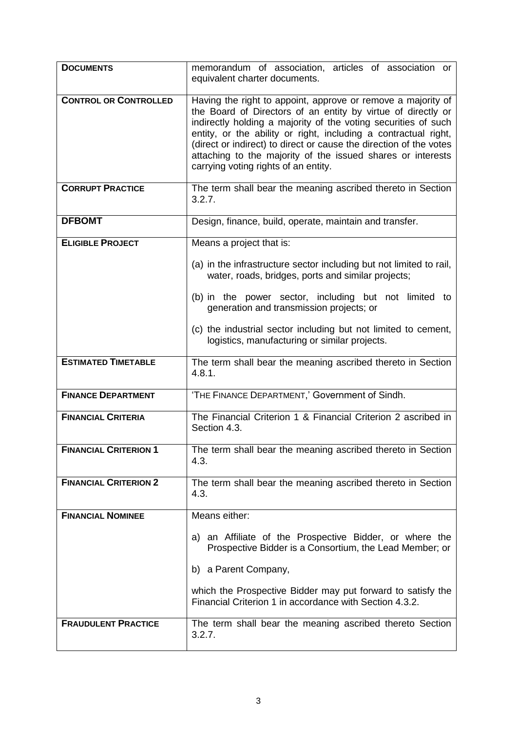| <b>DOCUMENTS</b>             | memorandum of association, articles of association or<br>equivalent charter documents.                                                                                                                                                                                                                                                                                                                                                         |
|------------------------------|------------------------------------------------------------------------------------------------------------------------------------------------------------------------------------------------------------------------------------------------------------------------------------------------------------------------------------------------------------------------------------------------------------------------------------------------|
| <b>CONTROL OR CONTROLLED</b> | Having the right to appoint, approve or remove a majority of<br>the Board of Directors of an entity by virtue of directly or<br>indirectly holding a majority of the voting securities of such<br>entity, or the ability or right, including a contractual right,<br>(direct or indirect) to direct or cause the direction of the votes<br>attaching to the majority of the issued shares or interests<br>carrying voting rights of an entity. |
| <b>CORRUPT PRACTICE</b>      | The term shall bear the meaning ascribed thereto in Section<br>3.2.7.                                                                                                                                                                                                                                                                                                                                                                          |
| <b>DFBOMT</b>                | Design, finance, build, operate, maintain and transfer.                                                                                                                                                                                                                                                                                                                                                                                        |
| <b>ELIGIBLE PROJECT</b>      | Means a project that is:                                                                                                                                                                                                                                                                                                                                                                                                                       |
|                              | (a) in the infrastructure sector including but not limited to rail,<br>water, roads, bridges, ports and similar projects;                                                                                                                                                                                                                                                                                                                      |
|                              | (b) in the power sector, including but not limited to<br>generation and transmission projects; or                                                                                                                                                                                                                                                                                                                                              |
|                              | (c) the industrial sector including but not limited to cement,<br>logistics, manufacturing or similar projects.                                                                                                                                                                                                                                                                                                                                |
| <b>ESTIMATED TIMETABLE</b>   | The term shall bear the meaning ascribed thereto in Section<br>4.8.1.                                                                                                                                                                                                                                                                                                                                                                          |
| <b>FINANCE DEPARTMENT</b>    | 'THE FINANCE DEPARTMENT,' Government of Sindh.                                                                                                                                                                                                                                                                                                                                                                                                 |
| <b>FINANCIAL CRITERIA</b>    | The Financial Criterion 1 & Financial Criterion 2 ascribed in<br>Section 4.3.                                                                                                                                                                                                                                                                                                                                                                  |
| <b>FINANCIAL CRITERION 1</b> | The term shall bear the meaning ascribed thereto in Section<br>4.3.                                                                                                                                                                                                                                                                                                                                                                            |
| <b>FINANCIAL CRITERION 2</b> | The term shall bear the meaning ascribed thereto in Section<br>4.3.                                                                                                                                                                                                                                                                                                                                                                            |
| <b>FINANCIAL NOMINEE</b>     | Means either:                                                                                                                                                                                                                                                                                                                                                                                                                                  |
|                              | a) an Affiliate of the Prospective Bidder, or where the<br>Prospective Bidder is a Consortium, the Lead Member; or                                                                                                                                                                                                                                                                                                                             |
|                              | b) a Parent Company,                                                                                                                                                                                                                                                                                                                                                                                                                           |
|                              | which the Prospective Bidder may put forward to satisfy the<br>Financial Criterion 1 in accordance with Section 4.3.2.                                                                                                                                                                                                                                                                                                                         |
| <b>FRAUDULENT PRACTICE</b>   | The term shall bear the meaning ascribed thereto Section<br>3.2.7.                                                                                                                                                                                                                                                                                                                                                                             |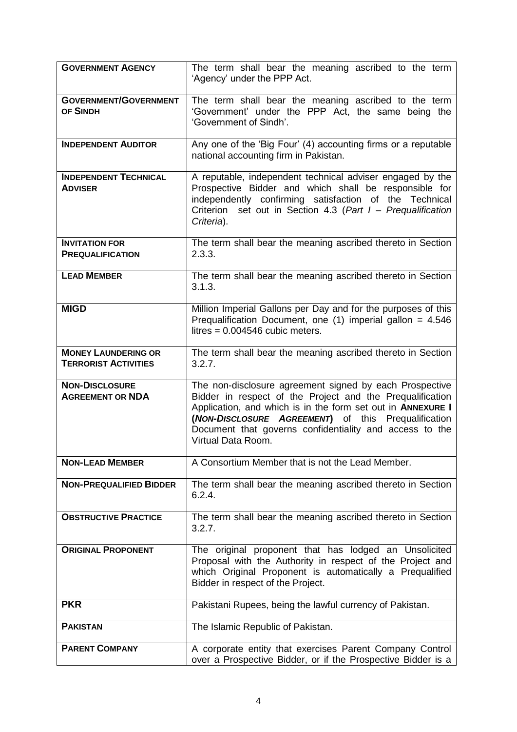| <b>GOVERNMENT AGENCY</b>                                  | The term shall bear the meaning ascribed to the term<br>'Agency' under the PPP Act.                                                                                                                                                                                                                                         |  |  |
|-----------------------------------------------------------|-----------------------------------------------------------------------------------------------------------------------------------------------------------------------------------------------------------------------------------------------------------------------------------------------------------------------------|--|--|
| <b>GOVERNMENT/GOVERNMENT</b><br>OF SINDH                  | The term shall bear the meaning ascribed to the term<br>'Government' under the PPP Act, the same being the<br>'Government of Sindh'.                                                                                                                                                                                        |  |  |
| <b>INDEPENDENT AUDITOR</b>                                | Any one of the 'Big Four' (4) accounting firms or a reputable<br>national accounting firm in Pakistan.                                                                                                                                                                                                                      |  |  |
| <b>INDEPENDENT TECHNICAL</b><br><b>ADVISER</b>            | A reputable, independent technical adviser engaged by the<br>Prospective Bidder and which shall be responsible for<br>independently confirming satisfaction of the Technical<br>Criterion set out in Section 4.3 (Part I - Prequalification<br>Criteria).                                                                   |  |  |
| <b>INVITATION FOR</b><br><b>PREQUALIFICATION</b>          | The term shall bear the meaning ascribed thereto in Section<br>2.3.3.                                                                                                                                                                                                                                                       |  |  |
| <b>LEAD MEMBER</b>                                        | The term shall bear the meaning ascribed thereto in Section<br>3.1.3.                                                                                                                                                                                                                                                       |  |  |
| <b>MIGD</b>                                               | Million Imperial Gallons per Day and for the purposes of this<br>Prequalification Document, one $(1)$ imperial gallon = 4.546<br>litres = $0.004546$ cubic meters.                                                                                                                                                          |  |  |
| <b>MONEY LAUNDERING OR</b><br><b>TERRORIST ACTIVITIES</b> | The term shall bear the meaning ascribed thereto in Section<br>3.2.7.                                                                                                                                                                                                                                                       |  |  |
| <b>NON-DISCLOSURE</b><br><b>AGREEMENT OR NDA</b>          | The non-disclosure agreement signed by each Prospective<br>Bidder in respect of the Project and the Prequalification<br>Application, and which is in the form set out in ANNEXURE I<br>(NON-DISCLOSURE AGREEMENT) of this Prequalification<br>Document that governs confidentiality and access to the<br>Virtual Data Room. |  |  |
| <b>NON-LEAD MEMBER</b>                                    | A Consortium Member that is not the Lead Member.                                                                                                                                                                                                                                                                            |  |  |
| <b>NON-PREQUALIFIED BIDDER</b>                            | The term shall bear the meaning ascribed thereto in Section<br>6.2.4.                                                                                                                                                                                                                                                       |  |  |
| <b>OBSTRUCTIVE PRACTICE</b>                               | The term shall bear the meaning ascribed thereto in Section<br>3.2.7.                                                                                                                                                                                                                                                       |  |  |
| <b>ORIGINAL PROPONENT</b>                                 | The original proponent that has lodged an Unsolicited<br>Proposal with the Authority in respect of the Project and<br>which Original Proponent is automatically a Prequalified<br>Bidder in respect of the Project.                                                                                                         |  |  |
| <b>PKR</b>                                                | Pakistani Rupees, being the lawful currency of Pakistan.                                                                                                                                                                                                                                                                    |  |  |
| <b>PAKISTAN</b>                                           | The Islamic Republic of Pakistan.                                                                                                                                                                                                                                                                                           |  |  |
| <b>PARENT COMPANY</b>                                     | A corporate entity that exercises Parent Company Control<br>over a Prospective Bidder, or if the Prospective Bidder is a                                                                                                                                                                                                    |  |  |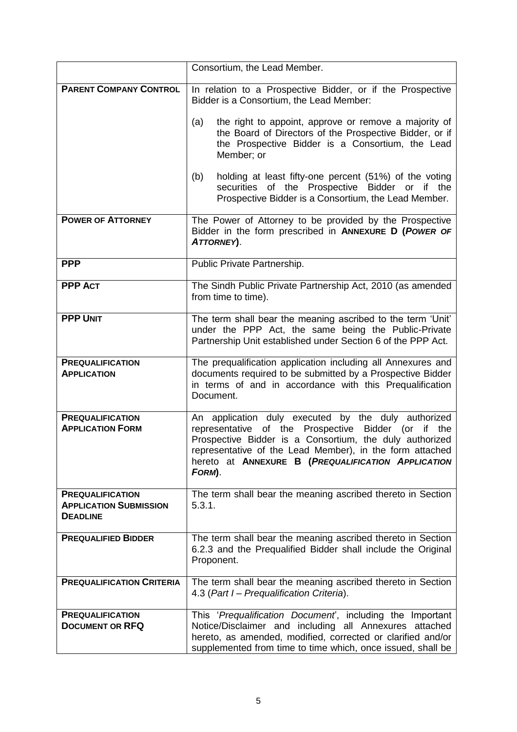|                                                                             | Consortium, the Lead Member.                                                                                                                                                                                                                                                                      |  |
|-----------------------------------------------------------------------------|---------------------------------------------------------------------------------------------------------------------------------------------------------------------------------------------------------------------------------------------------------------------------------------------------|--|
| <b>PARENT COMPANY CONTROL</b>                                               | In relation to a Prospective Bidder, or if the Prospective<br>Bidder is a Consortium, the Lead Member:                                                                                                                                                                                            |  |
|                                                                             | the right to appoint, approve or remove a majority of<br>(a)<br>the Board of Directors of the Prospective Bidder, or if<br>the Prospective Bidder is a Consortium, the Lead<br>Member; or                                                                                                         |  |
|                                                                             | holding at least fifty-one percent (51%) of the voting<br>(b)<br>securities of the Prospective Bidder or if the<br>Prospective Bidder is a Consortium, the Lead Member.                                                                                                                           |  |
| <b>POWER OF ATTORNEY</b>                                                    | The Power of Attorney to be provided by the Prospective<br>Bidder in the form prescribed in ANNEXURE D (POWER OF<br>ATTORNEY).                                                                                                                                                                    |  |
| <b>PPP</b>                                                                  | Public Private Partnership.                                                                                                                                                                                                                                                                       |  |
| <b>PPP ACT</b>                                                              | The Sindh Public Private Partnership Act, 2010 (as amended<br>from time to time).                                                                                                                                                                                                                 |  |
| <b>PPP UNIT</b>                                                             | The term shall bear the meaning ascribed to the term 'Unit'<br>under the PPP Act, the same being the Public-Private<br>Partnership Unit established under Section 6 of the PPP Act.                                                                                                               |  |
| <b>PREQUALIFICATION</b><br><b>APPLICATION</b>                               | The prequalification application including all Annexures and<br>documents required to be submitted by a Prospective Bidder<br>in terms of and in accordance with this Prequalification<br>Document.                                                                                               |  |
| <b>PREQUALIFICATION</b><br><b>APPLICATION FORM</b>                          | An application duly executed by the duly authorized<br>representative of the Prospective Bidder (or if the<br>Prospective Bidder is a Consortium, the duly authorized<br>representative of the Lead Member), in the form attached<br>hereto at ANNEXURE B (PREQUALIFICATION APPLICATION<br>FORM). |  |
| <b>PREQUALIFICATION</b><br><b>APPLICATION SUBMISSION</b><br><b>DEADLINE</b> | The term shall bear the meaning ascribed thereto in Section<br>5.3.1.                                                                                                                                                                                                                             |  |
| <b>PREQUALIFIED BIDDER</b>                                                  | The term shall bear the meaning ascribed thereto in Section<br>6.2.3 and the Prequalified Bidder shall include the Original<br>Proponent.                                                                                                                                                         |  |
| <b>PREQUALIFICATION CRITERIA</b>                                            | The term shall bear the meaning ascribed thereto in Section<br>4.3 (Part I – Prequalification Criteria).                                                                                                                                                                                          |  |
| <b>PREQUALIFICATION</b><br><b>DOCUMENT OR RFQ</b>                           | This 'Prequalification Document', including the Important<br>Notice/Disclaimer and including all Annexures attached<br>hereto, as amended, modified, corrected or clarified and/or<br>supplemented from time to time which, once issued, shall be                                                 |  |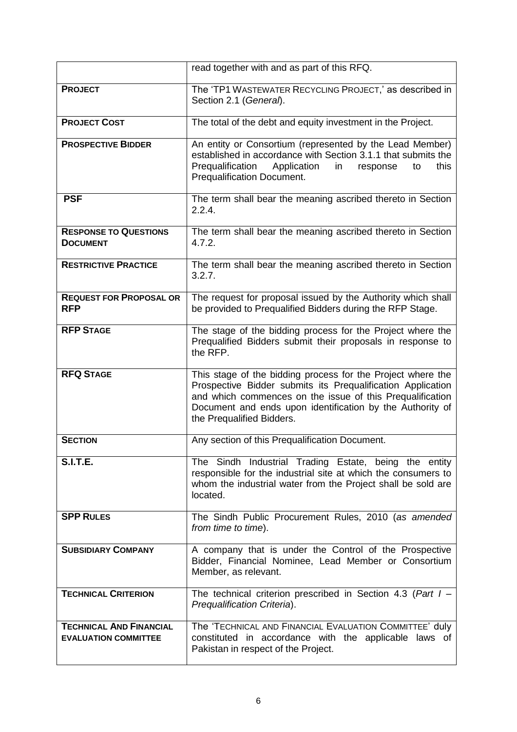|                                                               | read together with and as part of this RFQ.                                                                                                                                                                                                                                       |  |
|---------------------------------------------------------------|-----------------------------------------------------------------------------------------------------------------------------------------------------------------------------------------------------------------------------------------------------------------------------------|--|
| <b>PROJECT</b>                                                | The 'TP1 WASTEWATER RECYCLING PROJECT,' as described in<br>Section 2.1 (General).                                                                                                                                                                                                 |  |
| <b>PROJECT COST</b>                                           | The total of the debt and equity investment in the Project.                                                                                                                                                                                                                       |  |
| <b>PROSPECTIVE BIDDER</b>                                     | An entity or Consortium (represented by the Lead Member)<br>established in accordance with Section 3.1.1 that submits the<br>Prequalification<br>Application<br>in<br>this<br>response<br>to<br>Prequalification Document.                                                        |  |
| <b>PSF</b>                                                    | The term shall bear the meaning ascribed thereto in Section<br>2.2.4.                                                                                                                                                                                                             |  |
| <b>RESPONSE TO QUESTIONS</b><br><b>DOCUMENT</b>               | The term shall bear the meaning ascribed thereto in Section<br>4.7.2.                                                                                                                                                                                                             |  |
| <b>RESTRICTIVE PRACTICE</b>                                   | The term shall bear the meaning ascribed thereto in Section<br>3.2.7.                                                                                                                                                                                                             |  |
| <b>REQUEST FOR PROPOSAL OR</b><br><b>RFP</b>                  | The request for proposal issued by the Authority which shall<br>be provided to Prequalified Bidders during the RFP Stage.                                                                                                                                                         |  |
| <b>RFP STAGE</b>                                              | The stage of the bidding process for the Project where the<br>Prequalified Bidders submit their proposals in response to<br>the RFP.                                                                                                                                              |  |
| <b>RFQ STAGE</b>                                              | This stage of the bidding process for the Project where the<br>Prospective Bidder submits its Prequalification Application<br>and which commences on the issue of this Prequalification<br>Document and ends upon identification by the Authority of<br>the Prequalified Bidders. |  |
| <b>SECTION</b>                                                | Any section of this Prequalification Document.                                                                                                                                                                                                                                    |  |
| <b>S.I.T.E.</b>                                               | The Sindh Industrial Trading Estate, being the entity<br>responsible for the industrial site at which the consumers to<br>whom the industrial water from the Project shall be sold are<br>located.                                                                                |  |
| <b>SPP RULES</b>                                              | The Sindh Public Procurement Rules, 2010 (as amended<br>from time to time).                                                                                                                                                                                                       |  |
| <b>SUBSIDIARY COMPANY</b>                                     | A company that is under the Control of the Prospective<br>Bidder, Financial Nominee, Lead Member or Consortium<br>Member, as relevant.                                                                                                                                            |  |
| <b>TECHNICAL CRITERION</b>                                    | The technical criterion prescribed in Section 4.3 (Part $I -$<br>Prequalification Criteria).                                                                                                                                                                                      |  |
| <b>TECHNICAL AND FINANCIAL</b><br><b>EVALUATION COMMITTEE</b> | The 'TECHNICAL AND FINANCIAL EVALUATION COMMITTEE' duly<br>constituted in accordance with the applicable laws of<br>Pakistan in respect of the Project.                                                                                                                           |  |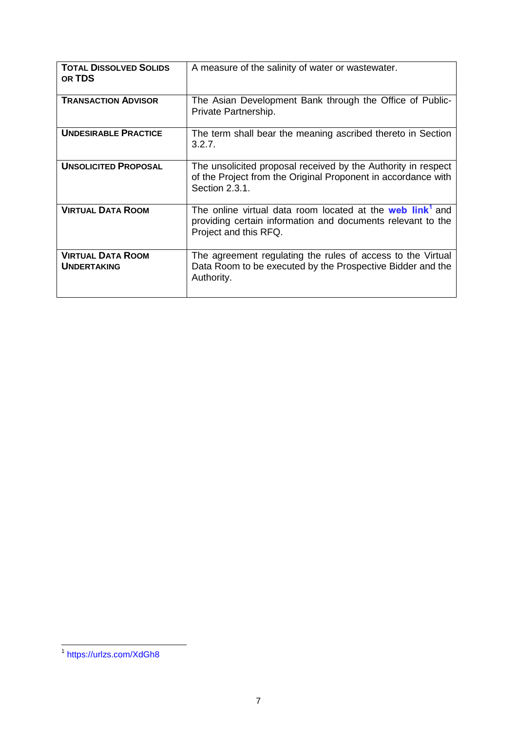| <b>TOTAL DISSOLVED SOLIDS</b><br>OR TDS        | A measure of the salinity of water or wastewater.                                                                                                             |
|------------------------------------------------|---------------------------------------------------------------------------------------------------------------------------------------------------------------|
| <b>TRANSACTION ADVISOR</b>                     | The Asian Development Bank through the Office of Public-<br>Private Partnership.                                                                              |
| <b>UNDESIRABLE PRACTICE</b>                    | The term shall bear the meaning ascribed thereto in Section<br>3.2.7.                                                                                         |
| <b>UNSOLICITED PROPOSAL</b>                    | The unsolicited proposal received by the Authority in respect<br>of the Project from the Original Proponent in accordance with<br>Section 2.3.1.              |
| <b>VIRTUAL DATA ROOM</b>                       | The online virtual data room located at the web link <sup>1</sup> and<br>providing certain information and documents relevant to the<br>Project and this RFQ. |
| <b>VIRTUAL DATA ROOM</b><br><b>UNDERTAKING</b> | The agreement regulating the rules of access to the Virtual<br>Data Room to be executed by the Prospective Bidder and the<br>Authority.                       |

 1 <https://urlzs.com/XdGh8>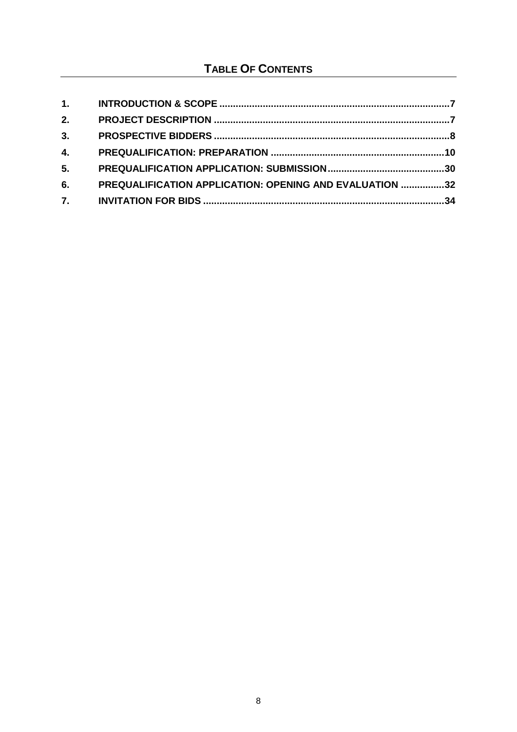# **TABLE OF CONTENTS**

| 1.             |                                                         |  |
|----------------|---------------------------------------------------------|--|
| 2.             |                                                         |  |
| 3.             |                                                         |  |
| 4.             |                                                         |  |
| 5 <sub>1</sub> |                                                         |  |
| 6.             | PREQUALIFICATION APPLICATION: OPENING AND EVALUATION 32 |  |
| 7.             |                                                         |  |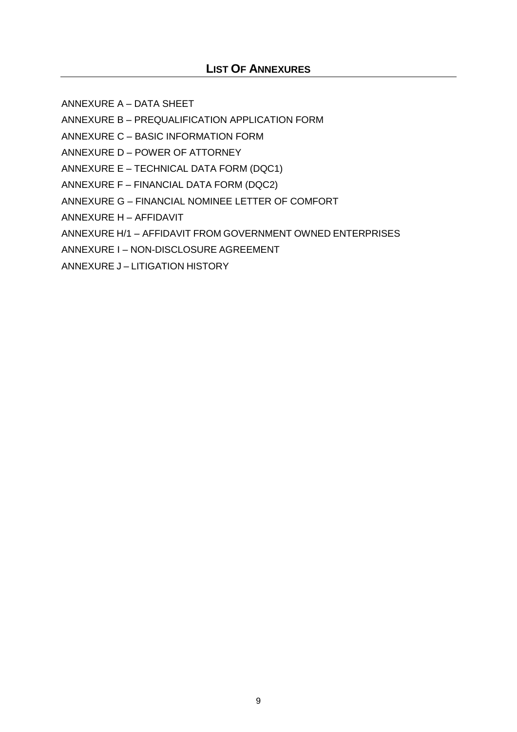## **LIST OF ANNEXURES**

ANNEXURE A – DATA SHEET

ANNEXURE B – PREQUALIFICATION APPLICATION FORM

ANNEXURE C – BASIC INFORMATION FORM

ANNEXURE D – POWER OF ATTORNEY

ANNEXURE E – TECHNICAL DATA FORM (DQC1)

ANNEXURE F – FINANCIAL DATA FORM (DQC2)

ANNEXURE G – FINANCIAL NOMINEE LETTER OF COMFORT

ANNEXURE H – AFFIDAVIT

ANNEXURE H/1 – AFFIDAVIT FROM GOVERNMENT OWNED ENTERPRISES

ANNEXURE I – NON-DISCLOSURE AGREEMENT

ANNEXURE J – LITIGATION HISTORY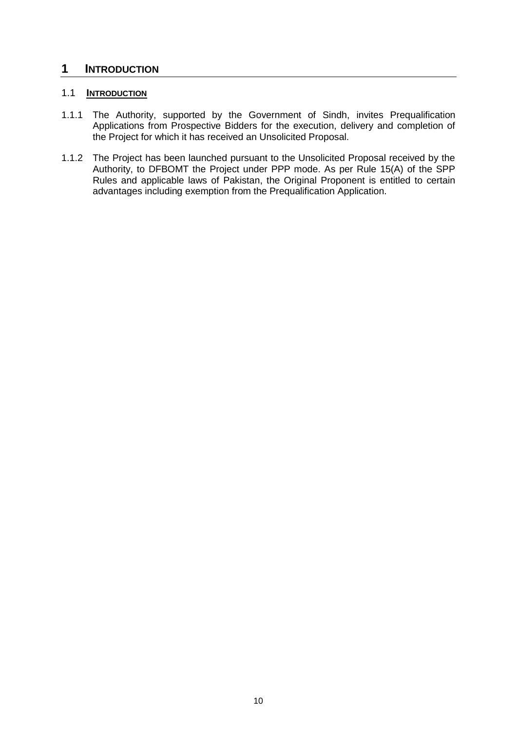# <span id="page-10-0"></span>**1 INTRODUCTION**

### 1.1 **INTRODUCTION**

- 1.1.1 The Authority, supported by the Government of Sindh, invites Prequalification Applications from Prospective Bidders for the execution, delivery and completion of the Project for which it has received an Unsolicited Proposal.
- 1.1.2 The Project has been launched pursuant to the Unsolicited Proposal received by the Authority, to DFBOMT the Project under PPP mode. As per Rule 15(A) of the SPP Rules and applicable laws of Pakistan, the Original Proponent is entitled to certain advantages including exemption from the Prequalification Application.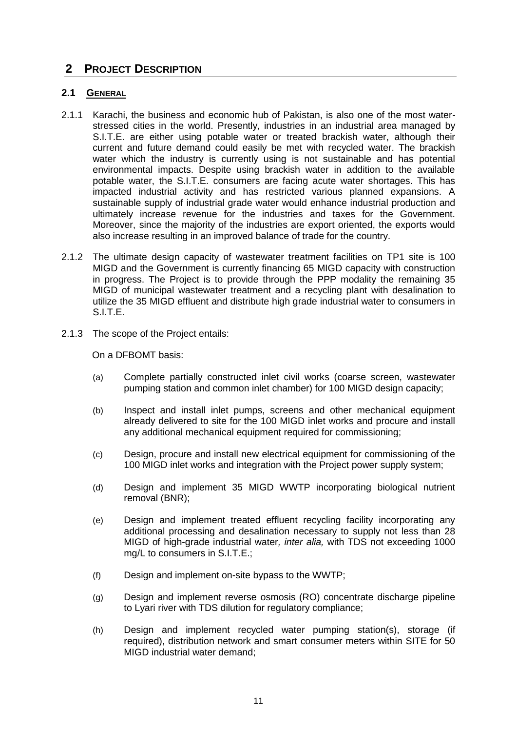# <span id="page-11-0"></span>**2 PROJECT DESCRIPTION**

### **2.1 GENERAL**

- 2.1.1 Karachi, the business and economic hub of Pakistan, is also one of the most waterstressed cities in the world. Presently, industries in an industrial area managed by S.I.T.E. are either using potable water or treated brackish water, although their current and future demand could easily be met with recycled water. The brackish water which the industry is currently using is not sustainable and has potential environmental impacts. Despite using brackish water in addition to the available potable water, the S.I.T.E. consumers are facing acute water shortages. This has impacted industrial activity and has restricted various planned expansions. A sustainable supply of industrial grade water would enhance industrial production and ultimately increase revenue for the industries and taxes for the Government. Moreover, since the majority of the industries are export oriented, the exports would also increase resulting in an improved balance of trade for the country.
- 2.1.2 The ultimate design capacity of wastewater treatment facilities on TP1 site is 100 MIGD and the Government is currently financing 65 MIGD capacity with construction in progress. The Project is to provide through the PPP modality the remaining 35 MIGD of municipal wastewater treatment and a recycling plant with desalination to utilize the 35 MIGD effluent and distribute high grade industrial water to consumers in S.I.T.E.
- 2.1.3 The scope of the Project entails:

On a DFBOMT basis:

- (a) Complete partially constructed inlet civil works (coarse screen, wastewater pumping station and common inlet chamber) for 100 MIGD design capacity;
- (b) Inspect and install inlet pumps, screens and other mechanical equipment already delivered to site for the 100 MIGD inlet works and procure and install any additional mechanical equipment required for commissioning;
- (c) Design, procure and install new electrical equipment for commissioning of the 100 MIGD inlet works and integration with the Project power supply system;
- (d) Design and implement 35 MIGD WWTP incorporating biological nutrient removal (BNR);
- (e) Design and implement treated effluent recycling facility incorporating any additional processing and desalination necessary to supply not less than 28 MIGD of high-grade industrial water*, inter alia,* with TDS not exceeding 1000 mg/L to consumers in S.I.T.E.;
- (f) Design and implement on-site bypass to the WWTP;
- (g) Design and implement reverse osmosis (RO) concentrate discharge pipeline to Lyari river with TDS dilution for regulatory compliance;
- (h) Design and implement recycled water pumping station(s), storage (if required), distribution network and smart consumer meters within SITE for 50 MIGD industrial water demand;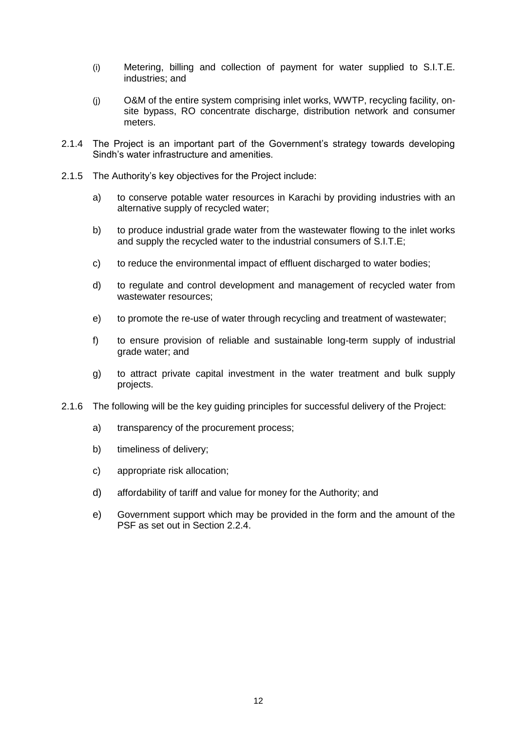- (i) Metering, billing and collection of payment for water supplied to S.I.T.E. industries; and
- (j) O&M of the entire system comprising inlet works, WWTP, recycling facility, onsite bypass, RO concentrate discharge, distribution network and consumer meters.
- 2.1.4 The Project is an important part of the Government"s strategy towards developing Sindh"s water infrastructure and amenities.
- 2.1.5 The Authority"s key objectives for the Project include:
	- a) to conserve potable water resources in Karachi by providing industries with an alternative supply of recycled water;
	- b) to produce industrial grade water from the wastewater flowing to the inlet works and supply the recycled water to the industrial consumers of S.I.T.E;
	- c) to reduce the environmental impact of effluent discharged to water bodies;
	- d) to regulate and control development and management of recycled water from wastewater resources;
	- e) to promote the re-use of water through recycling and treatment of wastewater;
	- f) to ensure provision of reliable and sustainable long-term supply of industrial grade water; and
	- g) to attract private capital investment in the water treatment and bulk supply projects.
- 2.1.6 The following will be the key guiding principles for successful delivery of the Project:
	- a) transparency of the procurement process;
	- b) timeliness of delivery;
	- c) appropriate risk allocation;
	- d) affordability of tariff and value for money for the Authority; and
	- e) Government support which may be provided in the form and the amount of the PSF as set out in Section 2.2.4.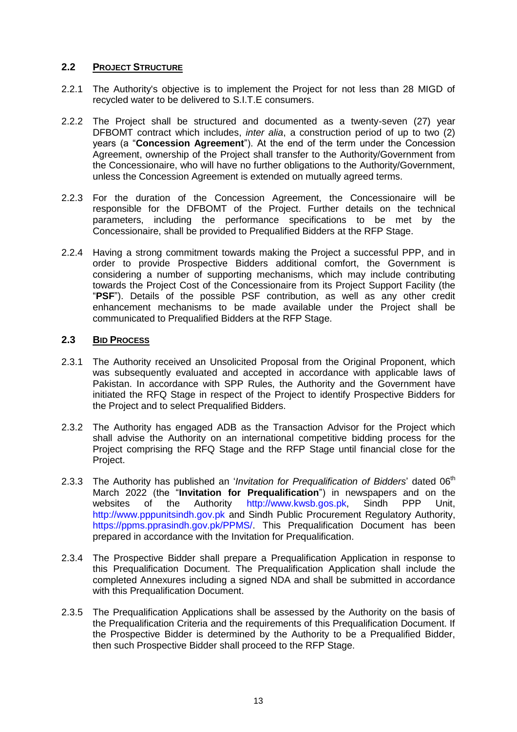### **2.2 PROJECT STRUCTURE**

- 2.2.1 The Authority's objective is to implement the Project for not less than 28 MIGD of recycled water to be delivered to S.I.T.E consumers.
- 2.2.2 The Project shall be structured and documented as a twenty-seven (27) year DFBOMT contract which includes, *inter alia*, a construction period of up to two (2) years (a "**Concession Agreement**"). At the end of the term under the Concession Agreement, ownership of the Project shall transfer to the Authority/Government from the Concessionaire, who will have no further obligations to the Authority/Government, unless the Concession Agreement is extended on mutually agreed terms.
- 2.2.3 For the duration of the Concession Agreement, the Concessionaire will be responsible for the DFBOMT of the Project. Further details on the technical parameters, including the performance specifications to be met by the Concessionaire, shall be provided to Prequalified Bidders at the RFP Stage.
- 2.2.4 Having a strong commitment towards making the Project a successful PPP, and in order to provide Prospective Bidders additional comfort, the Government is considering a number of supporting mechanisms, which may include contributing towards the Project Cost of the Concessionaire from its Project Support Facility (the "**PSF**"). Details of the possible PSF contribution, as well as any other credit enhancement mechanisms to be made available under the Project shall be communicated to Prequalified Bidders at the RFP Stage.

### **2.3 BID PROCESS**

- 2.3.1 The Authority received an Unsolicited Proposal from the Original Proponent, which was subsequently evaluated and accepted in accordance with applicable laws of Pakistan. In accordance with SPP Rules, the Authority and the Government have initiated the RFQ Stage in respect of the Project to identify Prospective Bidders for the Project and to select Prequalified Bidders.
- 2.3.2 The Authority has engaged ADB as the Transaction Advisor for the Project which shall advise the Authority on an international competitive bidding process for the Project comprising the RFQ Stage and the RFP Stage until financial close for the Project.
- 2.3.3 The Authority has published an *'Invitation for Prequalification of Bidders'* dated 06<sup>th</sup> March 2022 (the "**Invitation for Prequalification**") in newspapers and on the websites of the Authority [http://www.kwsb.gos.pk,](http://www.kwsb.gos.pk/) Sindh PPP Unit, [http://www.pppunitsindh.gov.pk](http://www.pppunitsindh.gov.pk/) and Sindh Public Procurement Regulatory Authority, [https://ppms.pprasindh.gov.pk/PPMS/.](https://ppms.pprasindh.gov.pk/PPMS/) This Prequalification Document has been prepared in accordance with the Invitation for Prequalification.
- 2.3.4 The Prospective Bidder shall prepare a Prequalification Application in response to this Prequalification Document. The Prequalification Application shall include the completed Annexures including a signed NDA and shall be submitted in accordance with this Prequalification Document.
- 2.3.5 The Prequalification Applications shall be assessed by the Authority on the basis of the Prequalification Criteria and the requirements of this Prequalification Document. If the Prospective Bidder is determined by the Authority to be a Prequalified Bidder, then such Prospective Bidder shall proceed to the RFP Stage.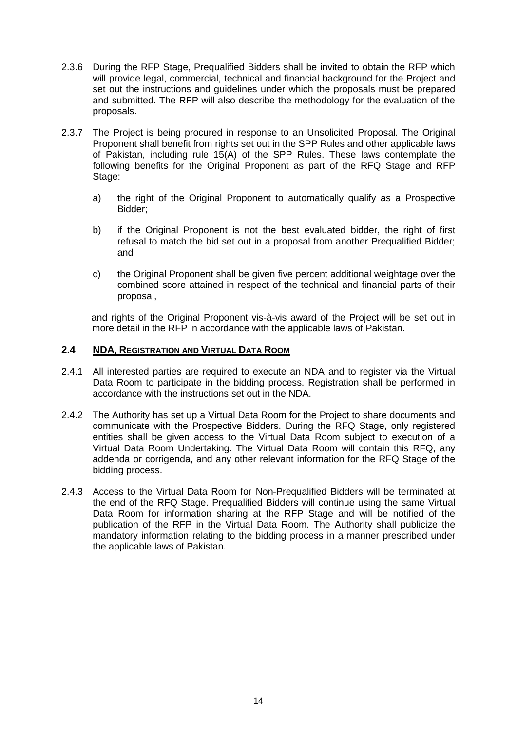- 2.3.6 During the RFP Stage, Prequalified Bidders shall be invited to obtain the RFP which will provide legal, commercial, technical and financial background for the Project and set out the instructions and guidelines under which the proposals must be prepared and submitted. The RFP will also describe the methodology for the evaluation of the proposals.
- 2.3.7 The Project is being procured in response to an Unsolicited Proposal. The Original Proponent shall benefit from rights set out in the SPP Rules and other applicable laws of Pakistan, including rule 15(A) of the SPP Rules. These laws contemplate the following benefits for the Original Proponent as part of the RFQ Stage and RFP Stage:
	- a) the right of the Original Proponent to automatically qualify as a Prospective Bidder;
	- b) if the Original Proponent is not the best evaluated bidder, the right of first refusal to match the bid set out in a proposal from another Prequalified Bidder; and
	- c) the Original Proponent shall be given five percent additional weightage over the combined score attained in respect of the technical and financial parts of their proposal,

and rights of the Original Proponent vis-à-vis award of the Project will be set out in more detail in the RFP in accordance with the applicable laws of Pakistan.

### **2.4 NDA, REGISTRATION AND VIRTUAL DATA ROOM**

- 2.4.1 All interested parties are required to execute an NDA and to register via the Virtual Data Room to participate in the bidding process. Registration shall be performed in accordance with the instructions set out in the NDA.
- 2.4.2 The Authority has set up a Virtual Data Room for the Project to share documents and communicate with the Prospective Bidders. During the RFQ Stage, only registered entities shall be given access to the Virtual Data Room subject to execution of a Virtual Data Room Undertaking. The Virtual Data Room will contain this RFQ, any addenda or corrigenda, and any other relevant information for the RFQ Stage of the bidding process.
- 2.4.3 Access to the Virtual Data Room for Non-Prequalified Bidders will be terminated at the end of the RFQ Stage. Prequalified Bidders will continue using the same Virtual Data Room for information sharing at the RFP Stage and will be notified of the publication of the RFP in the Virtual Data Room. The Authority shall publicize the mandatory information relating to the bidding process in a manner prescribed under the applicable laws of Pakistan.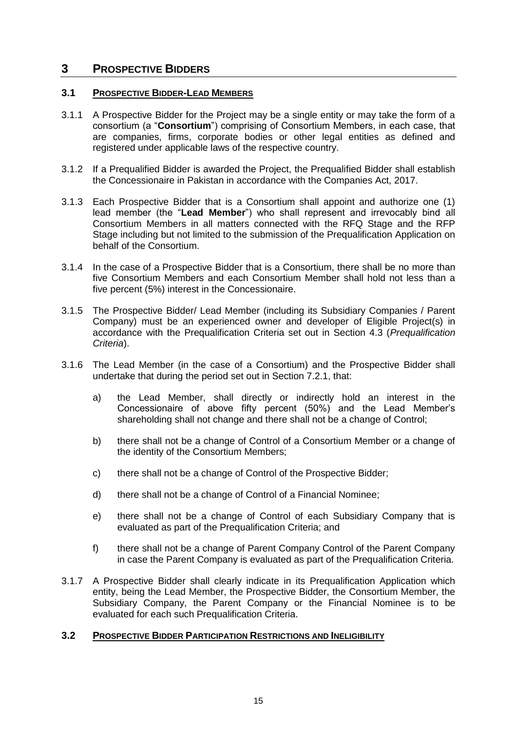## <span id="page-15-0"></span>**3 PROSPECTIVE BIDDERS**

### **3.1 PROSPECTIVE BIDDER-LEAD MEMBERS**

- 3.1.1 A Prospective Bidder for the Project may be a single entity or may take the form of a consortium (a "**Consortium**") comprising of Consortium Members, in each case, that are companies, firms, corporate bodies or other legal entities as defined and registered under applicable laws of the respective country.
- 3.1.2 If a Prequalified Bidder is awarded the Project, the Prequalified Bidder shall establish the Concessionaire in Pakistan in accordance with the Companies Act, 2017.
- 3.1.3 Each Prospective Bidder that is a Consortium shall appoint and authorize one (1) lead member (the "**Lead Member**") who shall represent and irrevocably bind all Consortium Members in all matters connected with the RFQ Stage and the RFP Stage including but not limited to the submission of the Prequalification Application on behalf of the Consortium.
- 3.1.4 In the case of a Prospective Bidder that is a Consortium, there shall be no more than five Consortium Members and each Consortium Member shall hold not less than a five percent (5%) interest in the Concessionaire.
- 3.1.5 The Prospective Bidder/ Lead Member (including its Subsidiary Companies / Parent Company) must be an experienced owner and developer of Eligible Project(s) in accordance with the Prequalification Criteria set out in Section 4.3 (*Prequalification Criteria*).
- 3.1.6 The Lead Member (in the case of a Consortium) and the Prospective Bidder shall undertake that during the period set out in Section 7.2.1, that:
	- a) the Lead Member, shall directly or indirectly hold an interest in the Concessionaire of above fifty percent (50%) and the Lead Member"s shareholding shall not change and there shall not be a change of Control;
	- b) there shall not be a change of Control of a Consortium Member or a change of the identity of the Consortium Members;
	- c) there shall not be a change of Control of the Prospective Bidder;
	- d) there shall not be a change of Control of a Financial Nominee;
	- e) there shall not be a change of Control of each Subsidiary Company that is evaluated as part of the Prequalification Criteria; and
	- f) there shall not be a change of Parent Company Control of the Parent Company in case the Parent Company is evaluated as part of the Prequalification Criteria.
- 3.1.7 A Prospective Bidder shall clearly indicate in its Prequalification Application which entity, being the Lead Member, the Prospective Bidder, the Consortium Member, the Subsidiary Company, the Parent Company or the Financial Nominee is to be evaluated for each such Prequalification Criteria.

### **3.2 PROSPECTIVE BIDDER PARTICIPATION RESTRICTIONS AND INELIGIBILITY**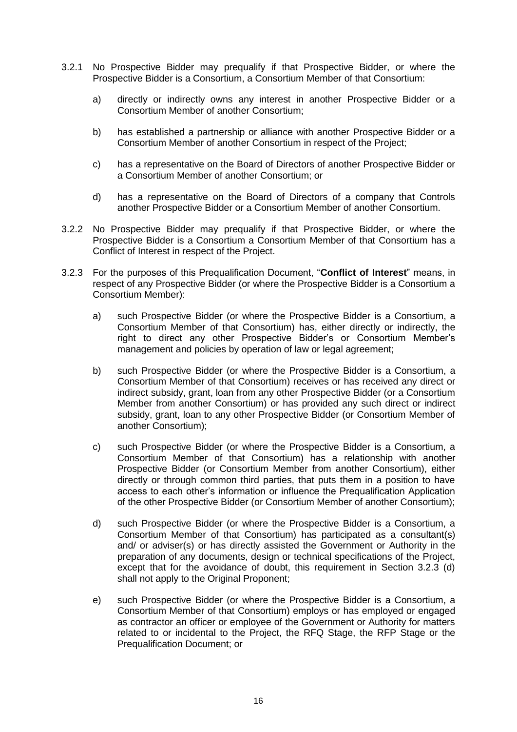- 3.2.1 No Prospective Bidder may prequalify if that Prospective Bidder, or where the Prospective Bidder is a Consortium, a Consortium Member of that Consortium:
	- a) directly or indirectly owns any interest in another Prospective Bidder or a Consortium Member of another Consortium;
	- b) has established a partnership or alliance with another Prospective Bidder or a Consortium Member of another Consortium in respect of the Project;
	- c) has a representative on the Board of Directors of another Prospective Bidder or a Consortium Member of another Consortium; or
	- d) has a representative on the Board of Directors of a company that Controls another Prospective Bidder or a Consortium Member of another Consortium.
- 3.2.2 No Prospective Bidder may prequalify if that Prospective Bidder, or where the Prospective Bidder is a Consortium a Consortium Member of that Consortium has a Conflict of Interest in respect of the Project.
- 3.2.3 For the purposes of this Prequalification Document, "**Conflict of Interest**" means, in respect of any Prospective Bidder (or where the Prospective Bidder is a Consortium a Consortium Member):
	- a) such Prospective Bidder (or where the Prospective Bidder is a Consortium, a Consortium Member of that Consortium) has, either directly or indirectly, the right to direct any other Prospective Bidder"s or Consortium Member"s management and policies by operation of law or legal agreement;
	- b) such Prospective Bidder (or where the Prospective Bidder is a Consortium, a Consortium Member of that Consortium) receives or has received any direct or indirect subsidy, grant, loan from any other Prospective Bidder (or a Consortium Member from another Consortium) or has provided any such direct or indirect subsidy, grant, loan to any other Prospective Bidder (or Consortium Member of another Consortium);
	- c) such Prospective Bidder (or where the Prospective Bidder is a Consortium, a Consortium Member of that Consortium) has a relationship with another Prospective Bidder (or Consortium Member from another Consortium), either directly or through common third parties, that puts them in a position to have access to each other"s information or influence the Prequalification Application of the other Prospective Bidder (or Consortium Member of another Consortium);
	- d) such Prospective Bidder (or where the Prospective Bidder is a Consortium, a Consortium Member of that Consortium) has participated as a consultant(s) and/ or adviser(s) or has directly assisted the Government or Authority in the preparation of any documents, design or technical specifications of the Project, except that for the avoidance of doubt, this requirement in Section 3.2.3 (d) shall not apply to the Original Proponent;
	- e) such Prospective Bidder (or where the Prospective Bidder is a Consortium, a Consortium Member of that Consortium) employs or has employed or engaged as contractor an officer or employee of the Government or Authority for matters related to or incidental to the Project, the RFQ Stage, the RFP Stage or the Prequalification Document; or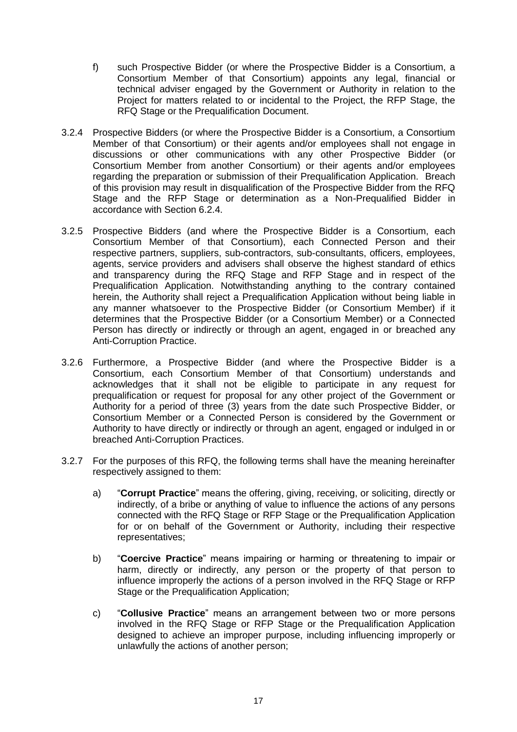- f) such Prospective Bidder (or where the Prospective Bidder is a Consortium, a Consortium Member of that Consortium) appoints any legal, financial or technical adviser engaged by the Government or Authority in relation to the Project for matters related to or incidental to the Project, the RFP Stage, the RFQ Stage or the Prequalification Document.
- 3.2.4 Prospective Bidders (or where the Prospective Bidder is a Consortium, a Consortium Member of that Consortium) or their agents and/or employees shall not engage in discussions or other communications with any other Prospective Bidder (or Consortium Member from another Consortium) or their agents and/or employees regarding the preparation or submission of their Prequalification Application. Breach of this provision may result in disqualification of the Prospective Bidder from the RFQ Stage and the RFP Stage or determination as a Non-Prequalified Bidder in accordance with Section 6.2.4.
- 3.2.5 Prospective Bidders (and where the Prospective Bidder is a Consortium, each Consortium Member of that Consortium), each Connected Person and their respective partners, suppliers, sub-contractors, sub-consultants, officers, employees, agents, service providers and advisers shall observe the highest standard of ethics and transparency during the RFQ Stage and RFP Stage and in respect of the Prequalification Application. Notwithstanding anything to the contrary contained herein, the Authority shall reject a Prequalification Application without being liable in any manner whatsoever to the Prospective Bidder (or Consortium Member) if it determines that the Prospective Bidder (or a Consortium Member) or a Connected Person has directly or indirectly or through an agent, engaged in or breached any Anti-Corruption Practice.
- 3.2.6 Furthermore, a Prospective Bidder (and where the Prospective Bidder is a Consortium, each Consortium Member of that Consortium) understands and acknowledges that it shall not be eligible to participate in any request for prequalification or request for proposal for any other project of the Government or Authority for a period of three (3) years from the date such Prospective Bidder, or Consortium Member or a Connected Person is considered by the Government or Authority to have directly or indirectly or through an agent, engaged or indulged in or breached Anti-Corruption Practices.
- <span id="page-17-0"></span>3.2.7 For the purposes of this RFQ, the following terms shall have the meaning hereinafter respectively assigned to them:
	- a) "**Corrupt Practice**" means the offering, giving, receiving, or soliciting, directly or indirectly, of a bribe or anything of value to influence the actions of any persons connected with the RFQ Stage or RFP Stage or the Prequalification Application for or on behalf of the Government or Authority, including their respective representatives;
	- b) "**Coercive Practice**" means impairing or harming or threatening to impair or harm, directly or indirectly, any person or the property of that person to influence improperly the actions of a person involved in the RFQ Stage or RFP Stage or the Prequalification Application;
	- c) "**Collusive Practice**" means an arrangement between two or more persons involved in the RFQ Stage or RFP Stage or the Prequalification Application designed to achieve an improper purpose, including influencing improperly or unlawfully the actions of another person;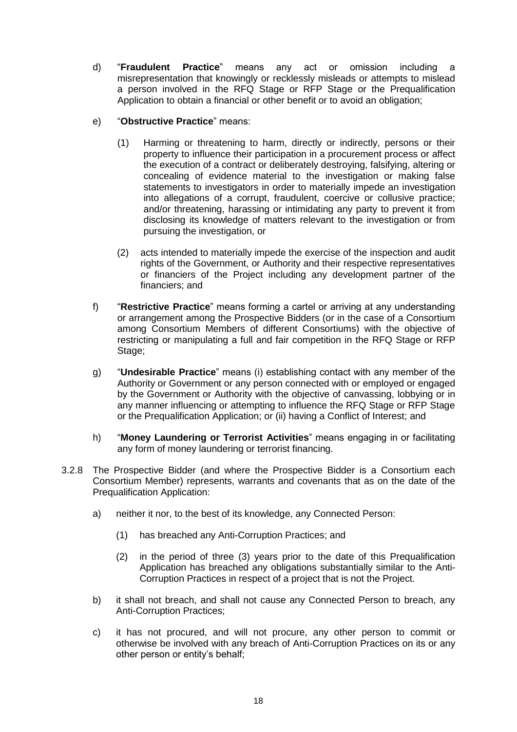- d) "**Fraudulent Practice**" means any act or omission including a misrepresentation that knowingly or recklessly misleads or attempts to mislead a person involved in the RFQ Stage or RFP Stage or the Prequalification Application to obtain a financial or other benefit or to avoid an obligation;
- e) "**Obstructive Practice**" means:
	- (1) Harming or threatening to harm, directly or indirectly, persons or their property to influence their participation in a procurement process or affect the execution of a contract or deliberately destroying, falsifying, altering or concealing of evidence material to the investigation or making false statements to investigators in order to materially impede an investigation into allegations of a corrupt, fraudulent, coercive or collusive practice; and/or threatening, harassing or intimidating any party to prevent it from disclosing its knowledge of matters relevant to the investigation or from pursuing the investigation, or
	- (2) acts intended to materially impede the exercise of the inspection and audit rights of the Government, or Authority and their respective representatives or financiers of the Project including any development partner of the financiers; and
- f) "**Restrictive Practice**" means forming a cartel or arriving at any understanding or arrangement among the Prospective Bidders (or in the case of a Consortium among Consortium Members of different Consortiums) with the objective of restricting or manipulating a full and fair competition in the RFQ Stage or RFP Stage;
- g) "**Undesirable Practice**" means (i) establishing contact with any member of the Authority or Government or any person connected with or employed or engaged by the Government or Authority with the objective of canvassing, lobbying or in any manner influencing or attempting to influence the RFQ Stage or RFP Stage or the Prequalification Application; or (ii) having a Conflict of Interest; and
- h) "**Money Laundering or Terrorist Activities**" means engaging in or facilitating any form of money laundering or terrorist financing.
- 3.2.8 The Prospective Bidder (and where the Prospective Bidder is a Consortium each Consortium Member) represents, warrants and covenants that as on the date of the Prequalification Application:
	- a) neither it nor, to the best of its knowledge, any Connected Person:
		- (1) has breached any Anti-Corruption Practices; and
		- (2) in the period of three (3) years prior to the date of this Prequalification Application has breached any obligations substantially similar to the Anti-Corruption Practices in respect of a project that is not the Project.
	- b) it shall not breach, and shall not cause any Connected Person to breach, any Anti-Corruption Practices;
	- c) it has not procured, and will not procure, any other person to commit or otherwise be involved with any breach of Anti-Corruption Practices on its or any other person or entity"s behalf;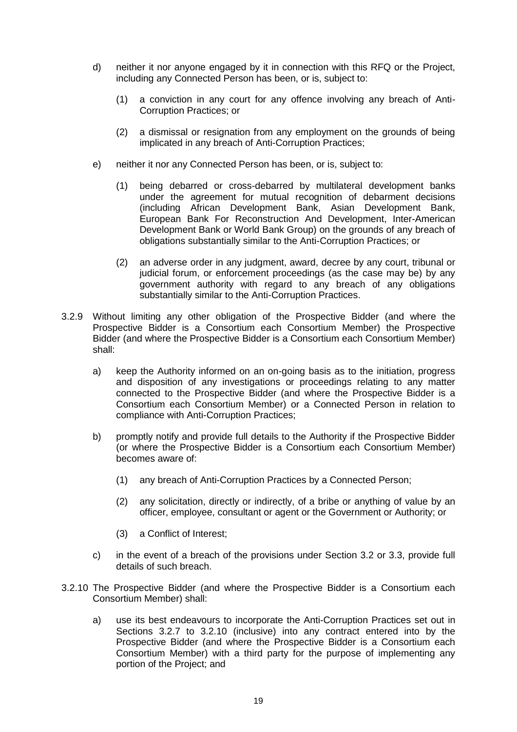- d) neither it nor anyone engaged by it in connection with this RFQ or the Project, including any Connected Person has been, or is, subject to:
	- (1) a conviction in any court for any offence involving any breach of Anti-Corruption Practices; or
	- (2) a dismissal or resignation from any employment on the grounds of being implicated in any breach of Anti-Corruption Practices;
- e) neither it nor any Connected Person has been, or is, subject to:
	- (1) being debarred or cross-debarred by multilateral development banks under the agreement for mutual recognition of debarment decisions (including African Development Bank, Asian Development Bank, European Bank For Reconstruction And Development, Inter-American Development Bank or World Bank Group) on the grounds of any breach of obligations substantially similar to the Anti-Corruption Practices; or
	- (2) an adverse order in any judgment, award, decree by any court, tribunal or judicial forum, or enforcement proceedings (as the case may be) by any government authority with regard to any breach of any obligations substantially similar to the Anti-Corruption Practices.
- 3.2.9 Without limiting any other obligation of the Prospective Bidder (and where the Prospective Bidder is a Consortium each Consortium Member) the Prospective Bidder (and where the Prospective Bidder is a Consortium each Consortium Member) shall:
	- a) keep the Authority informed on an on-going basis as to the initiation, progress and disposition of any investigations or proceedings relating to any matter connected to the Prospective Bidder (and where the Prospective Bidder is a Consortium each Consortium Member) or a Connected Person in relation to compliance with Anti-Corruption Practices;
	- b) promptly notify and provide full details to the Authority if the Prospective Bidder (or where the Prospective Bidder is a Consortium each Consortium Member) becomes aware of:
		- (1) any breach of Anti-Corruption Practices by a Connected Person;
		- (2) any solicitation, directly or indirectly, of a bribe or anything of value by an officer, employee, consultant or agent or the Government or Authority; or
		- (3) a Conflict of Interest;
	- c) in the event of a breach of the provisions under Section 3.2 or 3.3, provide full details of such breach.
- 3.2.10 The Prospective Bidder (and where the Prospective Bidder is a Consortium each Consortium Member) shall:
	- a) use its best endeavours to incorporate the Anti-Corruption Practices set out in Sections 3.2.7 to 3.2.10 (inclusive) into any contract entered into by the Prospective Bidder (and where the Prospective Bidder is a Consortium each Consortium Member) with a third party for the purpose of implementing any portion of the Project; and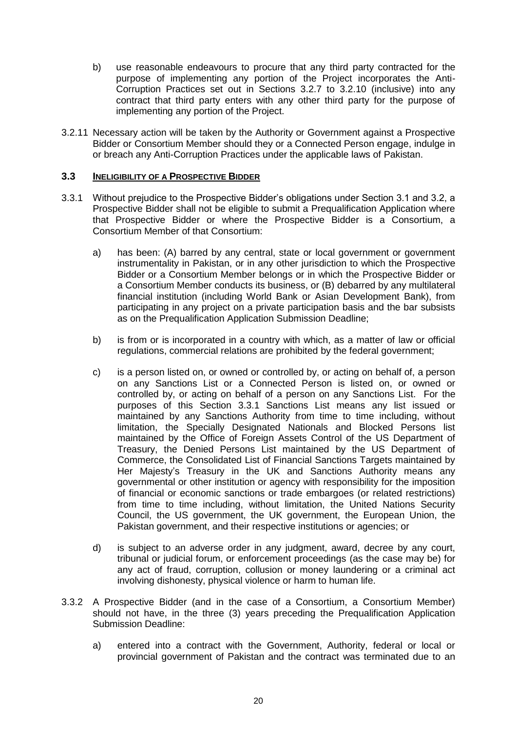- b) use reasonable endeavours to procure that any third party contracted for the purpose of implementing any portion of the Project incorporates the Anti-Corruption Practices set out in Sections 3.2.7 to 3.2.10 (inclusive) into any contract that third party enters with any other third party for the purpose of implementing any portion of the Project.
- 3.2.11 Necessary action will be taken by the Authority or Government against a Prospective Bidder or Consortium Member should they or a Connected Person engage, indulge in or breach any Anti-Corruption Practices under the applicable laws of Pakistan.

### **3.3 INELIGIBILITY OF A PROSPECTIVE BIDDER**

- 3.3.1 Without prejudice to the Prospective Bidder"s obligations under Section 3.1 and 3.2, a Prospective Bidder shall not be eligible to submit a Prequalification Application where that Prospective Bidder or where the Prospective Bidder is a Consortium, a Consortium Member of that Consortium:
	- a) has been: (A) barred by any central, state or local government or government instrumentality in Pakistan, or in any other jurisdiction to which the Prospective Bidder or a Consortium Member belongs or in which the Prospective Bidder or a Consortium Member conducts its business, or (B) debarred by any multilateral financial institution (including World Bank or Asian Development Bank), from participating in any project on a private participation basis and the bar subsists as on the Prequalification Application Submission Deadline;
	- b) is from or is incorporated in a country with which, as a matter of law or official regulations, commercial relations are prohibited by the federal government;
	- c) is a person listed on, or owned or controlled by, or acting on behalf of, a person on any Sanctions List or a Connected Person is listed on, or owned or controlled by, or acting on behalf of a person on any Sanctions List. For the purposes of this Section 3.3.1 Sanctions List means any list issued or maintained by any Sanctions Authority from time to time including, without limitation, the Specially Designated Nationals and Blocked Persons list maintained by the Office of Foreign Assets Control of the US Department of Treasury, the Denied Persons List maintained by the US Department of Commerce, the Consolidated List of Financial Sanctions Targets maintained by Her Majesty"s Treasury in the UK and Sanctions Authority means any governmental or other institution or agency with responsibility for the imposition of financial or economic sanctions or trade embargoes (or related restrictions) from time to time including, without limitation, the United Nations Security Council, the US government, the UK government, the European Union, the Pakistan government, and their respective institutions or agencies; or
	- d) is subject to an adverse order in any judgment, award, decree by any court, tribunal or judicial forum, or enforcement proceedings (as the case may be) for any act of fraud, corruption, collusion or money laundering or a criminal act involving dishonesty, physical violence or harm to human life.
- 3.3.2 A Prospective Bidder (and in the case of a Consortium, a Consortium Member) should not have, in the three (3) years preceding the Prequalification Application Submission Deadline:
	- a) entered into a contract with the Government, Authority, federal or local or provincial government of Pakistan and the contract was terminated due to an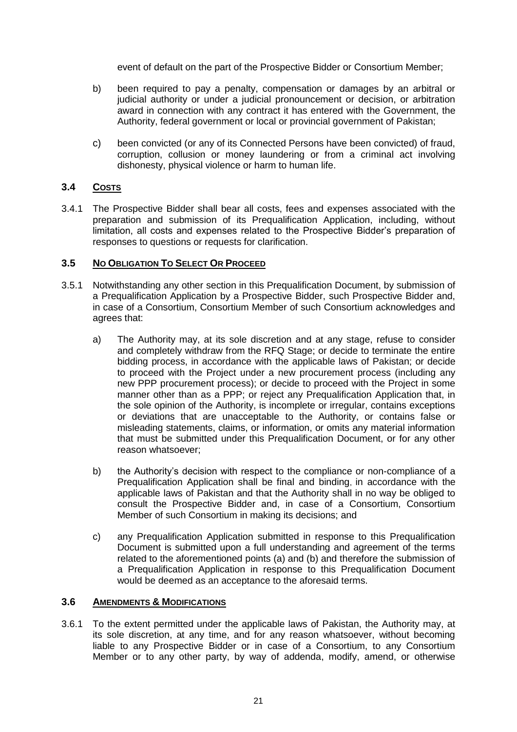event of default on the part of the Prospective Bidder or Consortium Member;

- b) been required to pay a penalty, compensation or damages by an arbitral or judicial authority or under a judicial pronouncement or decision, or arbitration award in connection with any contract it has entered with the Government, the Authority, federal government or local or provincial government of Pakistan;
- c) been convicted (or any of its Connected Persons have been convicted) of fraud, corruption, collusion or money laundering or from a criminal act involving dishonesty, physical violence or harm to human life.

### **3.4 COSTS**

3.4.1 The Prospective Bidder shall bear all costs, fees and expenses associated with the preparation and submission of its Prequalification Application, including, without limitation, all costs and expenses related to the Prospective Bidder"s preparation of responses to questions or requests for clarification.

### **3.5 NO OBLIGATION TO SELECT OR PROCEED**

- 3.5.1 Notwithstanding any other section in this Prequalification Document, by submission of a Prequalification Application by a Prospective Bidder, such Prospective Bidder and, in case of a Consortium, Consortium Member of such Consortium acknowledges and agrees that:
	- a) The Authority may, at its sole discretion and at any stage, refuse to consider and completely withdraw from the RFQ Stage; or decide to terminate the entire bidding process, in accordance with the applicable laws of Pakistan; or decide to proceed with the Project under a new procurement process (including any new PPP procurement process); or decide to proceed with the Project in some manner other than as a PPP; or reject any Prequalification Application that, in the sole opinion of the Authority, is incomplete or irregular, contains exceptions or deviations that are unacceptable to the Authority, or contains false or misleading statements, claims, or information, or omits any material information that must be submitted under this Prequalification Document, or for any other reason whatsoever;
	- b) the Authority's decision with respect to the compliance or non-compliance of a Prequalification Application shall be final and binding, in accordance with the applicable laws of Pakistan and that the Authority shall in no way be obliged to consult the Prospective Bidder and, in case of a Consortium, Consortium Member of such Consortium in making its decisions; and
	- c) any Prequalification Application submitted in response to this Prequalification Document is submitted upon a full understanding and agreement of the terms related to the aforementioned points (a) and (b) and therefore the submission of a Prequalification Application in response to this Prequalification Document would be deemed as an acceptance to the aforesaid terms.

#### **3.6 AMENDMENTS & MODIFICATIONS**

3.6.1 To the extent permitted under the applicable laws of Pakistan, the Authority may, at its sole discretion, at any time, and for any reason whatsoever, without becoming liable to any Prospective Bidder or in case of a Consortium, to any Consortium Member or to any other party, by way of addenda, modify, amend, or otherwise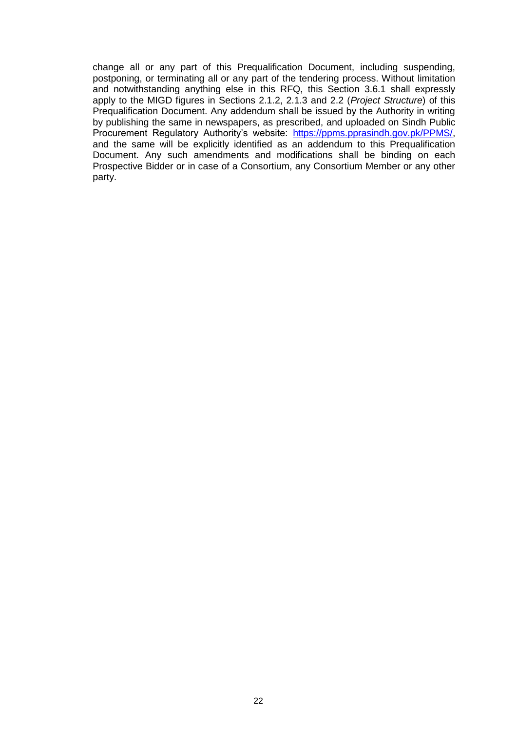change all or any part of this Prequalification Document, including suspending, postponing, or terminating all or any part of the tendering process. Without limitation and notwithstanding anything else in this RFQ, this Section 3.6.1 shall expressly apply to the MIGD figures in Sections 2.1.2, 2.1.3 and 2.2 (*Project Structure*) of this Prequalification Document. Any addendum shall be issued by the Authority in writing by publishing the same in newspapers, as prescribed, and uploaded on Sindh Public Procurement Regulatory Authority's website: [https://ppms.pprasindh.gov.pk/PPMS/,](https://ppms.pprasindh.gov.pk/PPMS/) and the same will be explicitly identified as an addendum to this Prequalification Document. Any such amendments and modifications shall be binding on each Prospective Bidder or in case of a Consortium, any Consortium Member or any other party.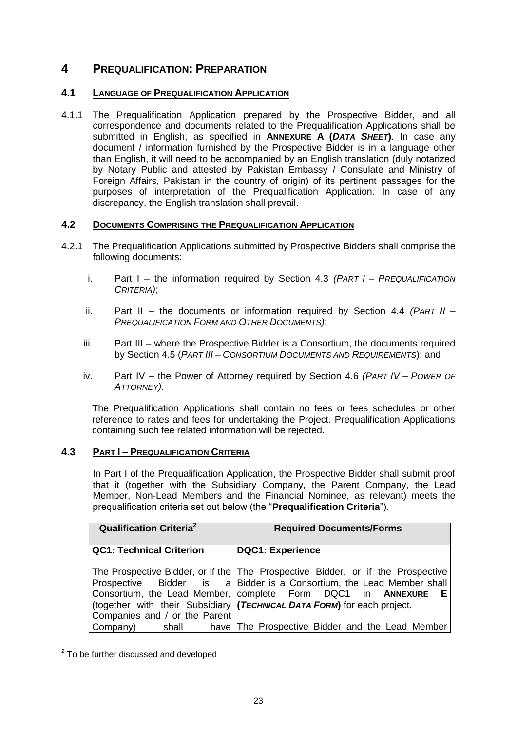# <span id="page-23-0"></span>**4 PREQUALIFICATION: PREPARATION**

## **4.1 LANGUAGE OF PREQUALIFICATION APPLICATION**

4.1.1 The Prequalification Application prepared by the Prospective Bidder, and all correspondence and documents related to the Prequalification Applications shall be submitted in English, as specified in **ANNEXURE A (***DATA SHEET***)**. In case any document / information furnished by the Prospective Bidder is in a language other than English, it will need to be accompanied by an English translation (duly notarized by Notary Public and attested by Pakistan Embassy / Consulate and Ministry of Foreign Affairs, Pakistan in the country of origin) of its pertinent passages for the purposes of interpretation of the Prequalification Application. In case of any discrepancy, the English translation shall prevail.

### <span id="page-23-1"></span>**4.2 DOCUMENTS COMPRISING THE PREQUALIFICATION APPLICATION**

- 4.2.1 The Prequalification Applications submitted by Prospective Bidders shall comprise the following documents:
	- i. Part I the information required by Section 4.3 *(PART I – PREQUALIFICATION CRITERIA)*;
	- ii. Part II the documents or information required by Section [4.4](#page-26-0) *(PART II – PREQUALIFICATION FORM AND OTHER DOCUMENTS)*;
	- iii. Part III where the Prospective Bidder is a Consortium, the documents required by Section [4.5](#page-28-0) (*PART III – CONSORTIUM DOCUMENTS AND REQUIREMENTS*); and
	- iv. Part IV the Power of Attorney required by Section [4.6](#page-28-1) *(PART IV – POWER OF ATTORNEY)*.

The Prequalification Applications shall contain no fees or fees schedules or other reference to rates and fees for undertaking the Project. Prequalification Applications containing such fee related information will be rejected.

## **4.3 PART I – PREQUALIFICATION CRITERIA**

In Part I of the Prequalification Application, the Prospective Bidder shall submit proof that it (together with the Subsidiary Company, the Parent Company, the Lead Member, Non-Lead Members and the Financial Nominee, as relevant) meets the prequalification criteria set out below (the "**Prequalification Criteria**").

| <b>Qualification Criteria</b> <sup>2</sup> | <b>Required Documents/Forms</b>                                                                                                                                                                                                                                                                           |  |
|--------------------------------------------|-----------------------------------------------------------------------------------------------------------------------------------------------------------------------------------------------------------------------------------------------------------------------------------------------------------|--|
| <b>QC1: Technical Criterion</b>            | <b>DQC1: Experience</b>                                                                                                                                                                                                                                                                                   |  |
| Companies and / or the Parent              | The Prospective Bidder, or if the The Prospective Bidder, or if the Prospective<br>Prospective Bidder is a Bidder is a Consortium, the Lead Member shall<br>Consortium, the Lead Member, complete Form DQC1 in ANNEXURE<br>Е<br>(together with their Subsidiary   (TECHNICAL DATA FORM) for each project. |  |
| Company)<br>shall                          | have The Prospective Bidder and the Lead Member                                                                                                                                                                                                                                                           |  |

 2 To be further discussed and developed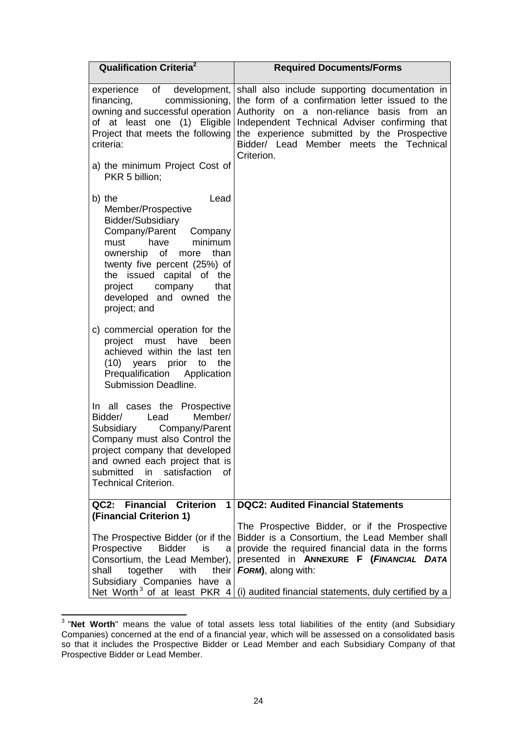| <b>Qualification Criteria<sup>2</sup></b>                                                                                                                                                                                                                                                  | <b>Required Documents/Forms</b>                                                                                                                                                                                                                                                                            |  |
|--------------------------------------------------------------------------------------------------------------------------------------------------------------------------------------------------------------------------------------------------------------------------------------------|------------------------------------------------------------------------------------------------------------------------------------------------------------------------------------------------------------------------------------------------------------------------------------------------------------|--|
| experience of development,<br>commissioning,<br>financing,<br>owning and successful operation<br>of at least one (1) Eligible<br>Project that meets the following<br>criteria:                                                                                                             | shall also include supporting documentation in<br>the form of a confirmation letter issued to the<br>Authority on a non-reliance basis from<br>an<br>Independent Technical Adviser confirming that<br>the experience submitted by the Prospective<br>Bidder/ Lead Member meets the Technical<br>Criterion. |  |
| a) the minimum Project Cost of<br>PKR 5 billion;                                                                                                                                                                                                                                           |                                                                                                                                                                                                                                                                                                            |  |
| b) the<br>Lead<br>Member/Prospective<br>Bidder/Subsidiary<br>Company/Parent<br>Company<br>have<br>minimum<br>must<br>of<br>ownership<br>than<br>more<br>twenty five percent (25%) of<br>the issued capital of the<br>project<br>company<br>that<br>developed and owned the<br>project; and |                                                                                                                                                                                                                                                                                                            |  |
| c) commercial operation for the<br>project<br>must<br>have<br>been<br>achieved within the last ten<br>(10)<br>years prior to<br>the<br>Prequalification Application<br>Submission Deadline.                                                                                                |                                                                                                                                                                                                                                                                                                            |  |
| In all cases the Prospective<br>Bidder/<br>Lead<br>Member/<br>Subsidiary Company/Parent<br>Company must also Control the<br>project company that developed<br>and owned each project that is<br>submitted<br>satisfaction<br>in<br>0f<br><b>Technical Criterion.</b>                       |                                                                                                                                                                                                                                                                                                            |  |
| QC2: Financial Criterion<br>$\mathbf 1$                                                                                                                                                                                                                                                    | <b>DQC2: Audited Financial Statements</b>                                                                                                                                                                                                                                                                  |  |
| (Financial Criterion 1)<br>The Prospective Bidder (or if the<br>Prospective<br>Bidder<br>is<br>a<br>Consortium, the Lead Member),<br>shall<br>together<br>with<br>their<br>Subsidiary Companies have a                                                                                     | The Prospective Bidder, or if the Prospective<br>Bidder is a Consortium, the Lead Member shall<br>provide the required financial data in the forms<br>presented in ANNEXURE F (FINANCIAL DATA<br>FORM), along with:                                                                                        |  |
|                                                                                                                                                                                                                                                                                            | Net Worth <sup>3</sup> of at least PKR $4/(i)$ audited financial statements, duly certified by a                                                                                                                                                                                                           |  |

 3 "**Net Worth**" means the value of total assets less total liabilities of the entity (and Subsidiary Companies) concerned at the end of a financial year, which will be assessed on a consolidated basis so that it includes the Prospective Bidder or Lead Member and each Subsidiary Company of that Prospective Bidder or Lead Member.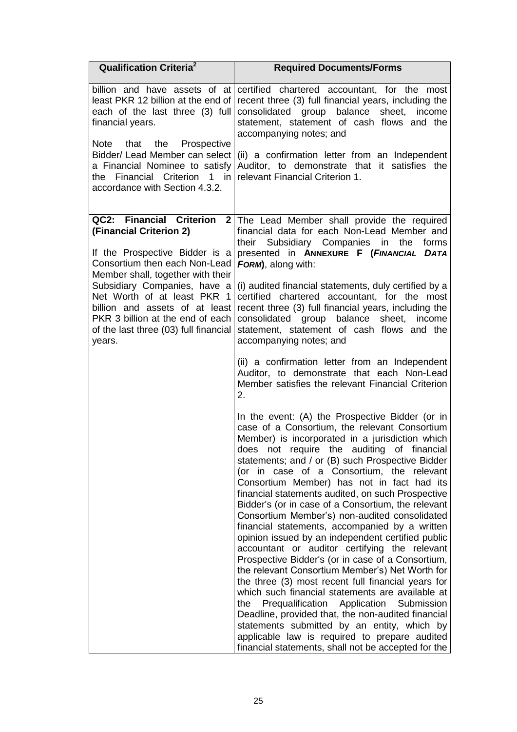| <b>Qualification Criteria</b> <sup>2</sup>                                                                                                                                                                                                                                                                                                          | <b>Required Documents/Forms</b>                                                                                                                                                                                                                                                                                                                                                                                                                                                                                                                                                                                                                                                                                                                                                                                                                                                                                                                                                                                                                                                                                                                       |  |
|-----------------------------------------------------------------------------------------------------------------------------------------------------------------------------------------------------------------------------------------------------------------------------------------------------------------------------------------------------|-------------------------------------------------------------------------------------------------------------------------------------------------------------------------------------------------------------------------------------------------------------------------------------------------------------------------------------------------------------------------------------------------------------------------------------------------------------------------------------------------------------------------------------------------------------------------------------------------------------------------------------------------------------------------------------------------------------------------------------------------------------------------------------------------------------------------------------------------------------------------------------------------------------------------------------------------------------------------------------------------------------------------------------------------------------------------------------------------------------------------------------------------------|--|
| least PKR 12 billion at the end of<br>each of the last three (3) full<br>financial years.                                                                                                                                                                                                                                                           | billion and have assets of at certified chartered accountant, for the most<br>recent three (3) full financial years, including the<br>consolidated group balance<br>sheet,<br>income<br>statement, statement of cash flows and the<br>accompanying notes; and                                                                                                                                                                                                                                                                                                                                                                                                                                                                                                                                                                                                                                                                                                                                                                                                                                                                                         |  |
| that<br>the<br>Prospective<br><b>Note</b><br>Bidder/ Lead Member can select<br>a Financial Nominee to satisfy<br>the Financial<br>Criterion<br>$1$ in<br>accordance with Section 4.3.2.                                                                                                                                                             | (ii) a confirmation letter from an Independent<br>Auditor, to demonstrate that it satisfies the<br>relevant Financial Criterion 1.                                                                                                                                                                                                                                                                                                                                                                                                                                                                                                                                                                                                                                                                                                                                                                                                                                                                                                                                                                                                                    |  |
| QC2: Financial Criterion<br>(Financial Criterion 2)<br>If the Prospective Bidder is a<br>Consortium then each Non-Lead<br>Member shall, together with their<br>Subsidiary Companies, have a<br>Net Worth of at least PKR 1<br>billion and assets of at least<br>PKR 3 billion at the end of each<br>of the last three (03) full financial<br>years. | 2 The Lead Member shall provide the required<br>financial data for each Non-Lead Member and<br>their Subsidiary Companies in the forms<br>presented in ANNEXURE F (FINANCIAL DATA<br>FORM), along with:<br>(i) audited financial statements, duly certified by a<br>certified chartered accountant, for the most<br>recent three (3) full financial years, including the<br>consolidated group balance sheet,<br>income<br>statement, statement of cash flows and the<br>accompanying notes; and                                                                                                                                                                                                                                                                                                                                                                                                                                                                                                                                                                                                                                                      |  |
|                                                                                                                                                                                                                                                                                                                                                     | (ii) a confirmation letter from an Independent<br>Auditor, to demonstrate that each Non-Lead<br>Member satisfies the relevant Financial Criterion<br>2.                                                                                                                                                                                                                                                                                                                                                                                                                                                                                                                                                                                                                                                                                                                                                                                                                                                                                                                                                                                               |  |
|                                                                                                                                                                                                                                                                                                                                                     | In the event: (A) the Prospective Bidder (or in<br>case of a Consortium, the relevant Consortium<br>Member) is incorporated in a jurisdiction which<br>does not require the auditing of financial<br>statements; and / or (B) such Prospective Bidder<br>(or in case of a Consortium, the relevant<br>Consortium Member) has not in fact had its<br>financial statements audited, on such Prospective<br>Bidder's (or in case of a Consortium, the relevant<br>Consortium Member's) non-audited consolidated<br>financial statements, accompanied by a written<br>opinion issued by an independent certified public<br>accountant or auditor certifying the relevant<br>Prospective Bidder's (or in case of a Consortium,<br>the relevant Consortium Member's) Net Worth for<br>the three (3) most recent full financial years for<br>which such financial statements are available at<br>Prequalification Application Submission<br>the<br>Deadline, provided that, the non-audited financial<br>statements submitted by an entity, which by<br>applicable law is required to prepare audited<br>financial statements, shall not be accepted for the |  |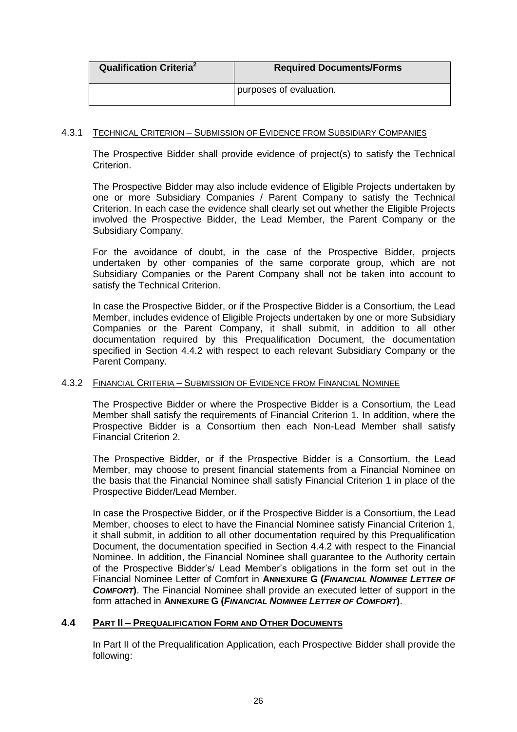| <b>Qualification Criteria</b> <sup>2</sup> | <b>Required Documents/Forms</b> |
|--------------------------------------------|---------------------------------|
|                                            | purposes of evaluation.         |

### 4.3.1 TECHNICAL CRITERION – SUBMISSION OF EVIDENCE FROM SUBSIDIARY COMPANIES

The Prospective Bidder shall provide evidence of project(s) to satisfy the Technical Criterion.

The Prospective Bidder may also include evidence of Eligible Projects undertaken by one or more Subsidiary Companies / Parent Company to satisfy the Technical Criterion. In each case the evidence shall clearly set out whether the Eligible Projects involved the Prospective Bidder, the Lead Member, the Parent Company or the Subsidiary Company.

For the avoidance of doubt, in the case of the Prospective Bidder, projects undertaken by other companies of the same corporate group, which are not Subsidiary Companies or the Parent Company shall not be taken into account to satisfy the Technical Criterion.

In case the Prospective Bidder, or if the Prospective Bidder is a Consortium, the Lead Member, includes evidence of Eligible Projects undertaken by one or more Subsidiary Companies or the Parent Company, it shall submit, in addition to all other documentation required by this Prequalification Document, the documentation specified in Section [4.4.2](#page-27-0) with respect to each relevant Subsidiary Company or the Parent Company.

### <span id="page-26-1"></span>4.3.2 FINANCIAL CRITERIA – SUBMISSION OF EVIDENCE FROM FINANCIAL NOMINEE

The Prospective Bidder or where the Prospective Bidder is a Consortium, the Lead Member shall satisfy the requirements of Financial Criterion 1. In addition, where the Prospective Bidder is a Consortium then each Non-Lead Member shall satisfy Financial Criterion 2.

The Prospective Bidder, or if the Prospective Bidder is a Consortium, the Lead Member, may choose to present financial statements from a Financial Nominee on the basis that the Financial Nominee shall satisfy Financial Criterion 1 in place of the Prospective Bidder/Lead Member.

In case the Prospective Bidder, or if the Prospective Bidder is a Consortium, the Lead Member, chooses to elect to have the Financial Nominee satisfy Financial Criterion 1, it shall submit, in addition to all other documentation required by this Prequalification Document, the documentation specified in Section [4.4.2](#page-27-0) with respect to the Financial Nominee. In addition, the Financial Nominee shall guarantee to the Authority certain of the Prospective Bidder"s/ Lead Member"s obligations in the form set out in the Financial Nominee Letter of Comfort in **ANNEXURE G (***FINANCIAL NOMINEE LETTER OF COMFORT***)**. The Financial Nominee shall provide an executed letter of support in the form attached in **ANNEXURE G (***FINANCIAL NOMINEE LETTER OF COMFORT***)**.

### <span id="page-26-0"></span>**4.4 PART II – PREQUALIFICATION FORM AND OTHER DOCUMENTS**

In Part II of the Prequalification Application, each Prospective Bidder shall provide the following: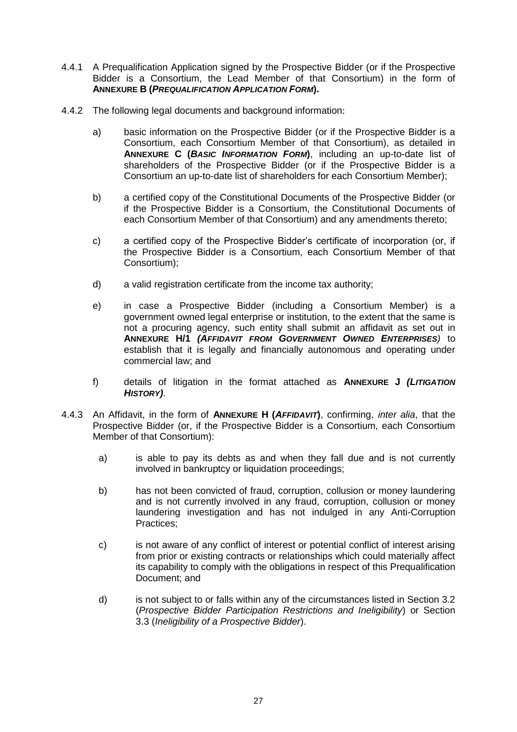- 4.4.1 A Prequalification Application signed by the Prospective Bidder (or if the Prospective Bidder is a Consortium, the Lead Member of that Consortium) in the form of **ANNEXURE B (***PREQUALIFICATION APPLICATION FORM***).**
- <span id="page-27-0"></span>4.4.2 The following legal documents and background information:
	- a) basic information on the Prospective Bidder (or if the Prospective Bidder is a Consortium, each Consortium Member of that Consortium), as detailed in **ANNEXURE C (***BASIC INFORMATION FORM***)**, including an up-to-date list of shareholders of the Prospective Bidder (or if the Prospective Bidder is a Consortium an up-to-date list of shareholders for each Consortium Member);
	- b) a certified copy of the Constitutional Documents of the Prospective Bidder (or if the Prospective Bidder is a Consortium, the Constitutional Documents of each Consortium Member of that Consortium) and any amendments thereto;
	- c) a certified copy of the Prospective Bidder"s certificate of incorporation (or, if the Prospective Bidder is a Consortium, each Consortium Member of that Consortium);
	- d) a valid registration certificate from the income tax authority;
	- e) in case a Prospective Bidder (including a Consortium Member) is a government owned legal enterprise or institution, to the extent that the same is not a procuring agency, such entity shall submit an affidavit as set out in **ANNEXURE H/1** *(AFFIDAVIT FROM GOVERNMENT OWNED ENTERPRISES)* to establish that it is legally and financially autonomous and operating under commercial law; and
	- f) details of litigation in the format attached as **ANNEXURE J** *(LITIGATION HISTORY)*.
- 4.4.3 An Affidavit, in the form of **ANNEXURE H (***AFFIDAVIT***)**, confirming, *inter alia*, that the Prospective Bidder (or, if the Prospective Bidder is a Consortium, each Consortium Member of that Consortium):
	- a) is able to pay its debts as and when they fall due and is not currently involved in bankruptcy or liquidation proceedings;
	- b) has not been convicted of fraud, corruption, collusion or money laundering and is not currently involved in any fraud, corruption, collusion or money laundering investigation and has not indulged in any Anti-Corruption Practices;
	- c) is not aware of any conflict of interest or potential conflict of interest arising from prior or existing contracts or relationships which could materially affect its capability to comply with the obligations in respect of this Prequalification Document; and
	- d) is not subject to or falls within any of the circumstances listed in Section 3.2 (*Prospective Bidder Participation Restrictions and Ineligibility*) or Section 3.3 (*Ineligibility of a Prospective Bidder*).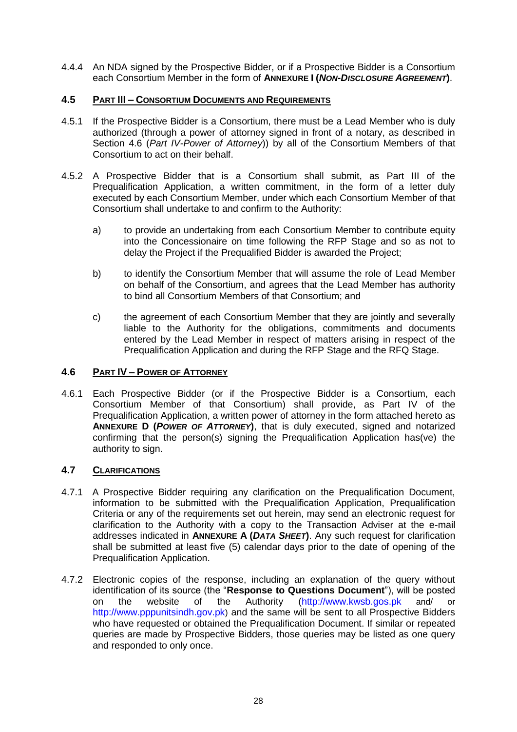4.4.4 An NDA signed by the Prospective Bidder, or if a Prospective Bidder is a Consortium each Consortium Member in the form of **ANNEXURE I (***NON-DISCLOSURE AGREEMENT***)**.

### <span id="page-28-0"></span>**4.5 PART III – CONSORTIUM DOCUMENTS AND REQUIREMENTS**

- 4.5.1 If the Prospective Bidder is a Consortium, there must be a Lead Member who is duly authorized (through a power of attorney signed in front of a notary, as described in Section [4.6](#page-28-1) (*Part IV-Power of Attorney*)) by all of the Consortium Members of that Consortium to act on their behalf.
- 4.5.2 A Prospective Bidder that is a Consortium shall submit, as Part III of the Prequalification Application, a written commitment, in the form of a letter duly executed by each Consortium Member, under which each Consortium Member of that Consortium shall undertake to and confirm to the Authority:
	- a) to provide an undertaking from each Consortium Member to contribute equity into the Concessionaire on time following the RFP Stage and so as not to delay the Project if the Prequalified Bidder is awarded the Project;
	- b) to identify the Consortium Member that will assume the role of Lead Member on behalf of the Consortium, and agrees that the Lead Member has authority to bind all Consortium Members of that Consortium; and
	- c) the agreement of each Consortium Member that they are jointly and severally liable to the Authority for the obligations, commitments and documents entered by the Lead Member in respect of matters arising in respect of the Prequalification Application and during the RFP Stage and the RFQ Stage.

### <span id="page-28-1"></span>**4.6 PART IV – POWER OF ATTORNEY**

4.6.1 Each Prospective Bidder (or if the Prospective Bidder is a Consortium, each Consortium Member of that Consortium) shall provide, as Part IV of the Prequalification Application, a written power of attorney in the form attached hereto as **ANNEXURE D (***POWER OF ATTORNEY***)**, that is duly executed, signed and notarized confirming that the person(s) signing the Prequalification Application has(ve) the authority to sign.

### **4.7 CLARIFICATIONS**

- 4.7.1 A Prospective Bidder requiring any clarification on the Prequalification Document, information to be submitted with the Prequalification Application, Prequalification Criteria or any of the requirements set out herein, may send an electronic request for clarification to the Authority with a copy to the Transaction Adviser at the e-mail addresses indicated in **ANNEXURE A (***DATA SHEET***)**. Any such request for clarification shall be submitted at least five (5) calendar days prior to the date of opening of the Prequalification Application.
- 4.7.2 Electronic copies of the response, including an explanation of the query without identification of its source (the "**Response to Questions Document**"), will be posted on the website of the Authority [\(http://www.kwsb.gos.pk](http://www.kwsb.gos.pk/) and/ or [http://www.pppunitsindh.gov.pk](http://www.pppunitsindh.gov.pk/)) and the same will be sent to all Prospective Bidders who have requested or obtained the Prequalification Document. If similar or repeated queries are made by Prospective Bidders, those queries may be listed as one query and responded to only once.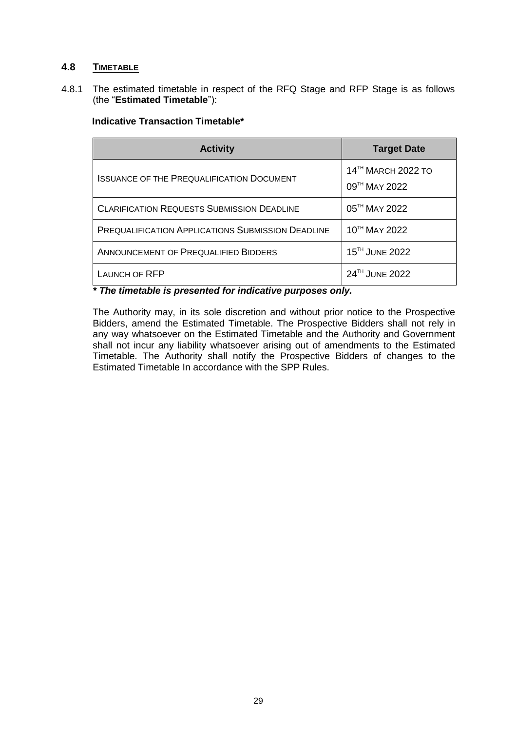### **4.8 TIMETABLE**

4.8.1 The estimated timetable in respect of the RFQ Stage and RFP Stage is as follows (the "**Estimated Timetable**"):

| <b>Activity</b>                                          | <b>Target Date</b>                              |
|----------------------------------------------------------|-------------------------------------------------|
| <b>ISSUANCE OF THE PREQUALIFICATION DOCUMENT</b>         | 14 <sup>TH</sup> MARCH 2022 TO<br>09TH MAY 2022 |
| <b>CLARIFICATION REQUESTS SUBMISSION DEADLINE</b>        | 05 <sup>TH</sup> MAY 2022                       |
| <b>PREQUALIFICATION APPLICATIONS SUBMISSION DEADLINE</b> | 10TH MAY 2022                                   |
| ANNOUNCEMENT OF PREQUALIFIED BIDDERS                     | 15 <sup>TH</sup> JUNE 2022                      |
| LAUNCH OF RFP                                            | 24TH JUNE 2022                                  |

## **Indicative Transaction Timetable\***

*\* The timetable is presented for indicative purposes only.*

The Authority may, in its sole discretion and without prior notice to the Prospective Bidders, amend the Estimated Timetable. The Prospective Bidders shall not rely in any way whatsoever on the Estimated Timetable and the Authority and Government shall not incur any liability whatsoever arising out of amendments to the Estimated Timetable. The Authority shall notify the Prospective Bidders of changes to the Estimated Timetable In accordance with the SPP Rules.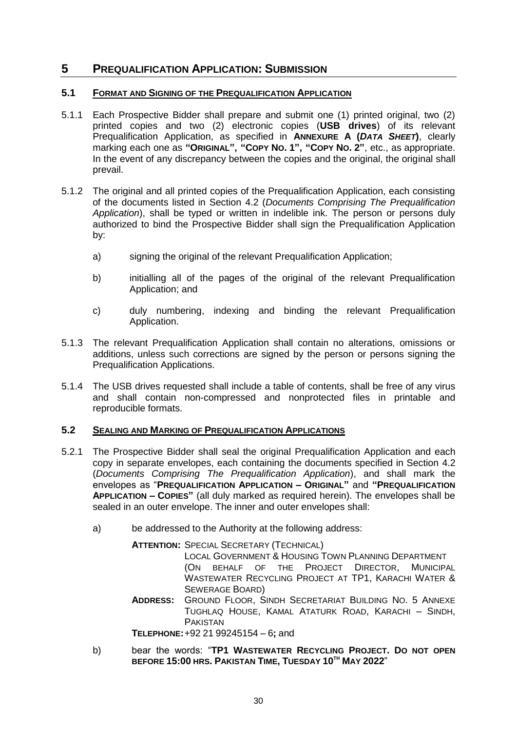# <span id="page-30-0"></span>**5 PREQUALIFICATION APPLICATION: SUBMISSION**

### **5.1 FORMAT AND SIGNING OF THE PREQUALIFICATION APPLICATION**

- 5.1.1 Each Prospective Bidder shall prepare and submit one (1) printed original, two (2) printed copies and two (2) electronic copies (**USB drives**) of its relevant Prequalification Application, as specified in **ANNEXURE A (***DATA SHEET***)**, clearly marking each one as **"ORIGINAL", "COPY NO. 1", "COPY NO. 2"**, etc., as appropriate. In the event of any discrepancy between the copies and the original, the original shall prevail.
- 5.1.2 The original and all printed copies of the Prequalification Application, each consisting of the documents listed in Section [4.2](#page-23-1) (*Documents Comprising The Prequalification Application*), shall be typed or written in indelible ink. The person or persons duly authorized to bind the Prospective Bidder shall sign the Prequalification Application by:
	- a) signing the original of the relevant Prequalification Application;
	- b) initialling all of the pages of the original of the relevant Prequalification Application; and
	- c) duly numbering, indexing and binding the relevant Prequalification Application.
- 5.1.3 The relevant Prequalification Application shall contain no alterations, omissions or additions, unless such corrections are signed by the person or persons signing the Prequalification Applications.
- 5.1.4 The USB drives requested shall include a table of contents, shall be free of any virus and shall contain non-compressed and nonprotected files in printable and reproducible formats.

### <span id="page-30-1"></span>**5.2 SEALING AND MARKING OF PREQUALIFICATION APPLICATIONS**

- 5.2.1 The Prospective Bidder shall seal the original Prequalification Application and each copy in separate envelopes, each containing the documents specified in Section [4.2](#page-23-1) (*Documents Comprising The Prequalification Application*), and shall mark the envelopes as "**PREQUALIFICATION APPLICATION – ORIGINAL"** and **"PREQUALIFICATION APPLICATION – COPIES"** (all duly marked as required herein). The envelopes shall be sealed in an outer envelope. The inner and outer envelopes shall:
	- a) be addressed to the Authority at the following address:

**ATTENTION:** SPECIAL SECRETARY (TECHNICAL) LOCAL GOVERNMENT & HOUSING TOWN PLANNING DEPARTMENT (ON BEHALF OF THE PROJECT DIRECTOR, MUNICIPAL WASTEWATER RECYCLING PROJECT AT TP1, KARACHI WATER & SEWERAGE BOARD) **ADDRESS:** GROUND FLOOR, SINDH SECRETARIAT BUILDING NO. 5 ANNEXE TUGHLAQ HOUSE, KAMAL ATATURK ROAD, KARACHI – SINDH, PAKISTAN

**TELEPHONE:**+92 21 99245154 – 6**;** and

b) bear the words: "**TP1 WASTEWATER RECYCLING PROJECT. DO NOT OPEN BEFORE 15:00 HRS. PAKISTAN TIME, TUESDAY 10TH MAY 2022**"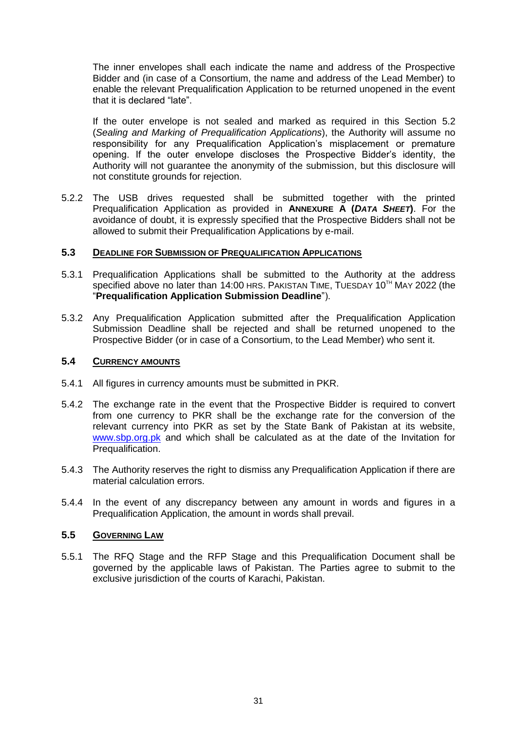The inner envelopes shall each indicate the name and address of the Prospective Bidder and (in case of a Consortium, the name and address of the Lead Member) to enable the relevant Prequalification Application to be returned unopened in the event that it is declared "late".

If the outer envelope is not sealed and marked as required in this Section [5.2](#page-30-1) (*Sealing and Marking of Prequalification Applications*), the Authority will assume no responsibility for any Prequalification Application"s misplacement or premature opening. If the outer envelope discloses the Prospective Bidder"s identity, the Authority will not guarantee the anonymity of the submission, but this disclosure will not constitute grounds for rejection.

5.2.2 The USB drives requested shall be submitted together with the printed Prequalification Application as provided in **ANNEXURE A (***DATA SHEET***)**. For the avoidance of doubt, it is expressly specified that the Prospective Bidders shall not be allowed to submit their Prequalification Applications by e-mail.

### **5.3 DEADLINE FOR SUBMISSION OF PREQUALIFICATION APPLICATIONS**

- 5.3.1 Prequalification Applications shall be submitted to the Authority at the address specified above no later than 14:00 HRS. PAKISTAN TIME, TUESDAY 10<sup>TH</sup> MAY 2022 (the "**Prequalification Application Submission Deadline**").
- 5.3.2 Any Prequalification Application submitted after the Prequalification Application Submission Deadline shall be rejected and shall be returned unopened to the Prospective Bidder (or in case of a Consortium, to the Lead Member) who sent it.

### **5.4 CURRENCY AMOUNTS**

- 5.4.1 All figures in currency amounts must be submitted in PKR.
- 5.4.2 The exchange rate in the event that the Prospective Bidder is required to convert from one currency to PKR shall be the exchange rate for the conversion of the relevant currency into PKR as set by the State Bank of Pakistan at its website, [www.sbp.org.pk](http://www.sbp.org.pk/) and which shall be calculated as at the date of the Invitation for Prequalification.
- 5.4.3 The Authority reserves the right to dismiss any Prequalification Application if there are material calculation errors.
- 5.4.4 In the event of any discrepancy between any amount in words and figures in a Prequalification Application, the amount in words shall prevail.

### **5.5 GOVERNING LAW**

5.5.1 The RFQ Stage and the RFP Stage and this Prequalification Document shall be governed by the applicable laws of Pakistan. The Parties agree to submit to the exclusive jurisdiction of the courts of Karachi, Pakistan.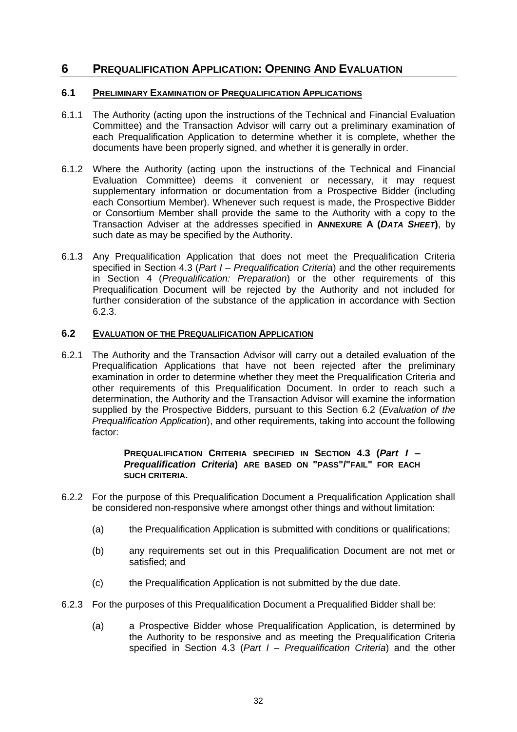## <span id="page-32-0"></span>**6 PREQUALIFICATION APPLICATION: OPENING AND EVALUATION**

### **6.1 PRELIMINARY EXAMINATION OF PREQUALIFICATION APPLICATIONS**

- 6.1.1 The Authority (acting upon the instructions of the Technical and Financial Evaluation Committee) and the Transaction Advisor will carry out a preliminary examination of each Prequalification Application to determine whether it is complete, whether the documents have been properly signed, and whether it is generally in order.
- 6.1.2 Where the Authority (acting upon the instructions of the Technical and Financial Evaluation Committee) deems it convenient or necessary, it may request supplementary information or documentation from a Prospective Bidder (including each Consortium Member). Whenever such request is made, the Prospective Bidder or Consortium Member shall provide the same to the Authority with a copy to the Transaction Adviser at the addresses specified in **ANNEXURE A (***DATA SHEET***)**, by such date as may be specified by the Authority.
- 6.1.3 Any Prequalification Application that does not meet the Prequalification Criteria specified in Section 4.3 (*Part I – Prequalification Criteria*) and the other requirements in Section 4 (*Prequalification: Preparation*) or the other requirements of this Prequalification Document will be rejected by the Authority and not included for further consideration of the substance of the application in accordance with Section 6.2.3.

### <span id="page-32-1"></span>**6.2 EVALUATION OF THE PREQUALIFICATION APPLICATION**

6.2.1 The Authority and the Transaction Advisor will carry out a detailed evaluation of the Prequalification Applications that have not been rejected after the preliminary examination in order to determine whether they meet the Prequalification Criteria and other requirements of this Prequalification Document. In order to reach such a determination, the Authority and the Transaction Advisor will examine the information supplied by the Prospective Bidders, pursuant to this Section [6.2](#page-32-1) (*Evaluation of the Prequalification Application*), and other requirements, taking into account the following factor:

### **PREQUALIFICATION CRITERIA SPECIFIED IN SECTION 4.3 (***Part I – Prequalification Criteria***) ARE BASED ON "PASS"/"FAIL" FOR EACH SUCH CRITERIA.**

- 6.2.2 For the purpose of this Prequalification Document a Prequalification Application shall be considered non-responsive where amongst other things and without limitation:
	- (a) the Prequalification Application is submitted with conditions or qualifications;
	- (b) any requirements set out in this Prequalification Document are not met or satisfied; and
	- (c) the Prequalification Application is not submitted by the due date.
- 6.2.3 For the purposes of this Prequalification Document a Prequalified Bidder shall be:
	- (a) a Prospective Bidder whose Prequalification Application, is determined by the Authority to be responsive and as meeting the Prequalification Criteria specified in Section 4.3 (*Part I – Prequalification Criteria*) and the other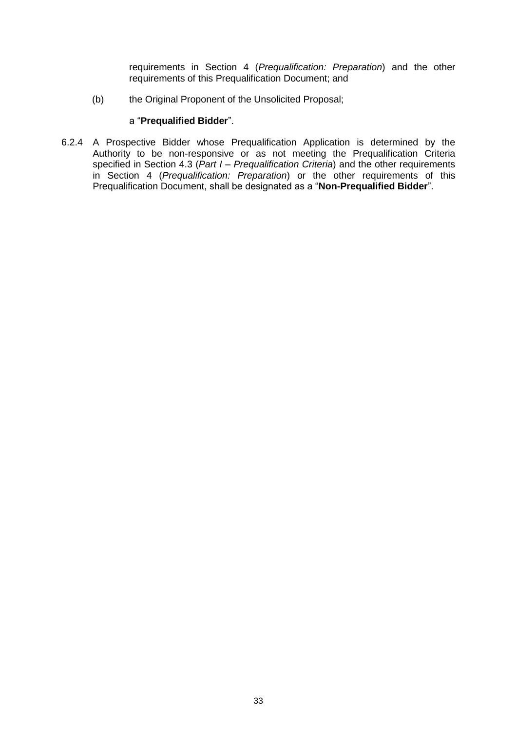requirements in Section 4 (*Prequalification: Preparation*) and the other requirements of this Prequalification Document; and

(b) the Original Proponent of the Unsolicited Proposal;

### a "**Prequalified Bidder**".

6.2.4 A Prospective Bidder whose Prequalification Application is determined by the Authority to be non-responsive or as not meeting the Prequalification Criteria specified in Section 4.3 (*Part I – Prequalification Criteria*) and the other requirements in Section 4 (*Prequalification: Preparation*) or the other requirements of this Prequalification Document, shall be designated as a "**Non-Prequalified Bidder**".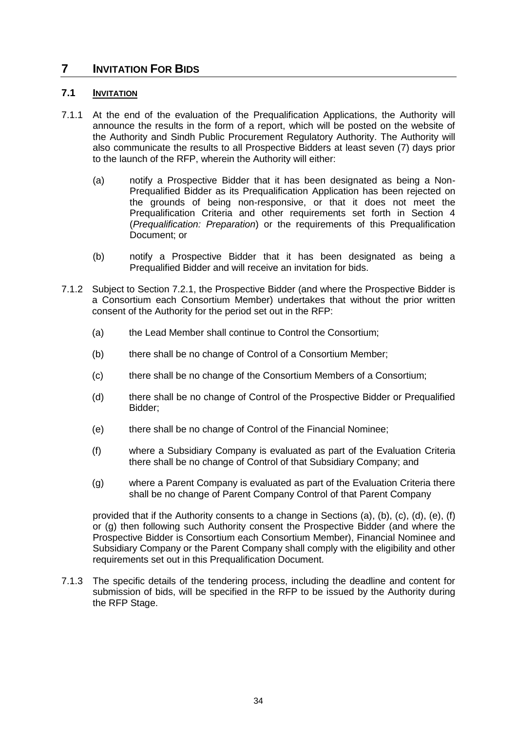# <span id="page-34-0"></span>**7 INVITATION FOR BIDS**

### **7.1 INVITATION**

- <span id="page-34-1"></span>7.1.1 At the end of the evaluation of the Prequalification Applications, the Authority will announce the results in the form of a report, which will be posted on the website of the Authority and Sindh Public Procurement Regulatory Authority. The Authority will also communicate the results to all Prospective Bidders at least seven (7) days prior to the launch of the RFP, wherein the Authority will either:
	- (a) notify a Prospective Bidder that it has been designated as being a Non-Prequalified Bidder as its Prequalification Application has been rejected on the grounds of being non-responsive, or that it does not meet the Prequalification Criteria and other requirements set forth in Section 4 (*Prequalification: Preparation*) or the requirements of this Prequalification Document; or
	- (b) notify a Prospective Bidder that it has been designated as being a Prequalified Bidder and will receive an invitation for bids.
- <span id="page-34-3"></span><span id="page-34-2"></span>7.1.2 Subject to Section 7.2.1, the Prospective Bidder (and where the Prospective Bidder is a Consortium each Consortium Member) undertakes that without the prior written consent of the Authority for the period set out in the RFP:
	- (a) the Lead Member shall continue to Control the Consortium;
	- (b) there shall be no change of Control of a Consortium Member;
	- (c) there shall be no change of the Consortium Members of a Consortium;
	- (d) there shall be no change of Control of the Prospective Bidder or Prequalified Bidder;
	- (e) there shall be no change of Control of the Financial Nominee;
	- (f) where a Subsidiary Company is evaluated as part of the Evaluation Criteria there shall be no change of Control of that Subsidiary Company; and
	- (g) where a Parent Company is evaluated as part of the Evaluation Criteria there shall be no change of Parent Company Control of that Parent Company

provided that if the Authority consents to a change in Sections (a), (b), (c), (d), (e), (f) or (g) then following such Authority consent the Prospective Bidder (and where the Prospective Bidder is Consortium each Consortium Member), Financial Nominee and Subsidiary Company or the Parent Company shall comply with the eligibility and other requirements set out in this Prequalification Document.

7.1.3 The specific details of the tendering process, including the deadline and content for submission of bids, will be specified in the RFP to be issued by the Authority during the RFP Stage.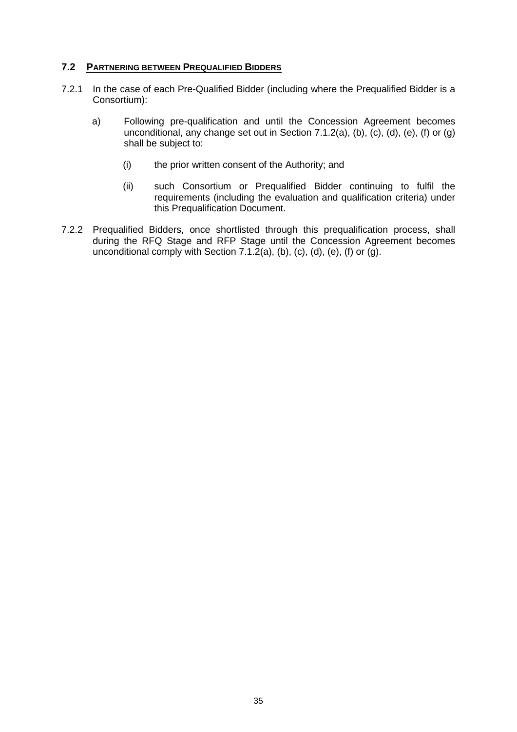### **7.2 PARTNERING BETWEEN PREQUALIFIED BIDDERS**

- 7.2.1 In the case of each Pre-Qualified Bidder (including where the Prequalified Bidder is a Consortium):
	- a) Following pre-qualification and until the Concession Agreement becomes unconditional, any change set out in Section [7.](#page-34-0)1.[2\(a\),](#page-34-1) [\(b\),](#page-34-2) [\(c\),](#page-34-3) (d), (e), (f) or (g) shall be subject to:
		- (i) the prior written consent of the Authority; and
		- (ii) such Consortium or Prequalified Bidder continuing to fulfil the requirements (including the evaluation and qualification criteria) under this Prequalification Document.
- 7.2.2 Prequalified Bidders, once shortlisted through this prequalification process, shall during the RFQ Stage and RFP Stage until the Concession Agreement becomes unconditional comply with Section  $7.1.\overline{2}$ (a), [\(b\),](#page-34-2) (c), (d), (e), (f) or (g).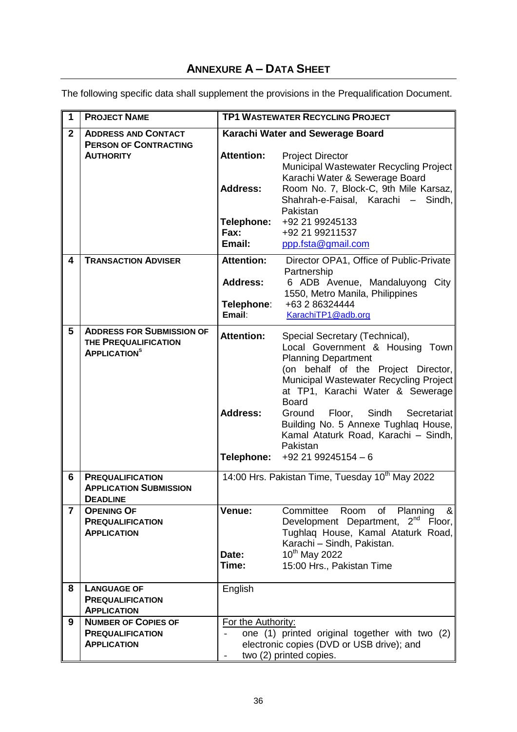# **ANNEXURE A – DATA SHEET**

The following specific data shall supplement the provisions in the Prequalification Document.

| $\mathbf{1}$   | <b>PROJECT NAME</b>                                                                         | <b>TP1 WASTEWATER RECYCLING PROJECT</b>            |                                                                                                                                                                                                                                                                                                                                                                                                       |  |
|----------------|---------------------------------------------------------------------------------------------|----------------------------------------------------|-------------------------------------------------------------------------------------------------------------------------------------------------------------------------------------------------------------------------------------------------------------------------------------------------------------------------------------------------------------------------------------------------------|--|
| $\overline{2}$ | <b>ADDRESS AND CONTACT</b>                                                                  | Karachi Water and Sewerage Board                   |                                                                                                                                                                                                                                                                                                                                                                                                       |  |
|                | <b>PERSON OF CONTRACTING</b><br><b>AUTHORITY</b>                                            | <b>Attention:</b><br><b>Address:</b>               | <b>Project Director</b><br>Municipal Wastewater Recycling Project<br>Karachi Water & Sewerage Board<br>Room No. 7, Block-C, 9th Mile Karsaz,<br>Shahrah-e-Faisal, Karachi – Sindh,<br>Pakistan                                                                                                                                                                                                        |  |
|                |                                                                                             | <b>Telephone:</b><br>Fax:<br>Email:                | +92 21 99245133<br>+92 21 99211537<br>ppp.fsta@gmail.com                                                                                                                                                                                                                                                                                                                                              |  |
| 4              | <b>TRANSACTION ADVISER</b>                                                                  | <b>Attention:</b>                                  | Director OPA1, Office of Public-Private                                                                                                                                                                                                                                                                                                                                                               |  |
|                |                                                                                             | <b>Address:</b><br>Telephone:<br>Email:            | Partnership<br>6 ADB Avenue, Mandaluyong<br>City<br>1550, Metro Manila, Philippines<br>+63 2 86324444<br>KarachiTP1@adb.org                                                                                                                                                                                                                                                                           |  |
| 5              | <b>ADDRESS FOR SUBMISSION OF</b><br>THE PREQUALIFICATION<br><b>APPLICATION</b> <sup>S</sup> | <b>Attention:</b><br><b>Address:</b><br>Telephone: | Special Secretary (Technical),<br>Local Government & Housing Town<br><b>Planning Department</b><br>(on behalf of the Project Director,<br>Municipal Wastewater Recycling Project<br>at TP1, Karachi Water & Sewerage<br><b>Board</b><br>Floor,<br>Sindh<br>Ground<br>Secretariat<br>Building No. 5 Annexe Tughlaq House,<br>Kamal Ataturk Road, Karachi - Sindh,<br>Pakistan<br>$+92$ 21 99245154 - 6 |  |
| 6              | <b>PREQUALIFICATION</b><br><b>APPLICATION SUBMISSION</b><br><b>DEADLINE</b>                 |                                                    | 14:00 Hrs. Pakistan Time, Tuesday 10 <sup>th</sup> May 2022                                                                                                                                                                                                                                                                                                                                           |  |
| $\overline{7}$ | <b>OPENING OF</b><br><b>PREQUALIFICATION</b><br><b>APPLICATION</b>                          | Venue:<br>Date:<br>Time:                           | Committee<br>Room<br>Planning<br>8 <sub>l</sub><br>of<br>Development Department, 2 <sup>nd</sup><br>Floor,<br>Tughlag House, Kamal Ataturk Road,<br>Karachi - Sindh, Pakistan.<br>10 <sup>th</sup> May 2022<br>15:00 Hrs., Pakistan Time                                                                                                                                                              |  |
| 8              | <b>LANGUAGE OF</b><br><b>PREQUALIFICATION</b><br><b>APPLICATION</b>                         | English                                            |                                                                                                                                                                                                                                                                                                                                                                                                       |  |
| 9              | <b>NUMBER OF COPIES OF</b><br><b>PREQUALIFICATION</b><br><b>APPLICATION</b>                 | For the Authority:                                 | one (1) printed original together with two (2)<br>electronic copies (DVD or USB drive); and<br>two (2) printed copies.                                                                                                                                                                                                                                                                                |  |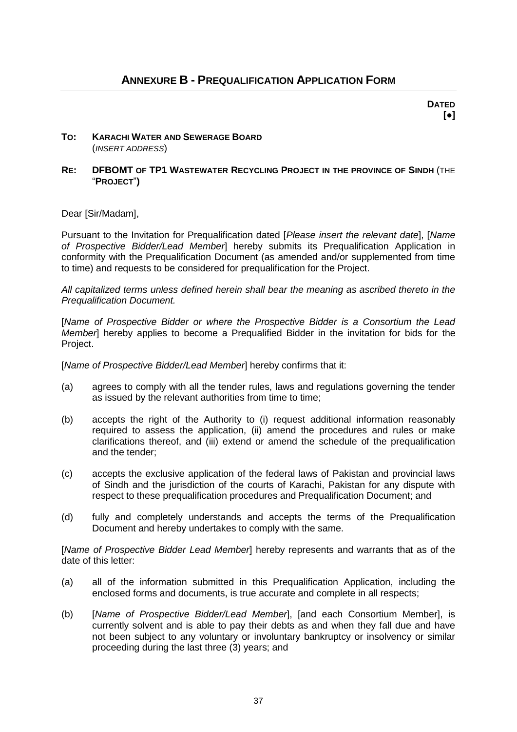**DATED [●]**

### **TO: KARACHI WATER AND SEWERAGE BOARD** (*INSERT ADDRESS*)

### **RE: DFBOMT OF TP1 WASTEWATER RECYCLING PROJECT IN THE PROVINCE OF SINDH** (THE "**PROJECT**"**)**

Dear [Sir/Madam],

Pursuant to the Invitation for Prequalification dated [*Please insert the relevant date*], [*Name of Prospective Bidder/Lead Member*] hereby submits its Prequalification Application in conformity with the Prequalification Document (as amended and/or supplemented from time to time) and requests to be considered for prequalification for the Project.

*All capitalized terms unless defined herein shall bear the meaning as ascribed thereto in the Prequalification Document.*

[*Name of Prospective Bidder or where the Prospective Bidder is a Consortium the Lead Member*] hereby applies to become a Prequalified Bidder in the invitation for bids for the Project.

[*Name of Prospective Bidder/Lead Member*] hereby confirms that it:

- (a) agrees to comply with all the tender rules, laws and regulations governing the tender as issued by the relevant authorities from time to time;
- (b) accepts the right of the Authority to (i) request additional information reasonably required to assess the application, (ii) amend the procedures and rules or make clarifications thereof, and (iii) extend or amend the schedule of the prequalification and the tender;
- (c) accepts the exclusive application of the federal laws of Pakistan and provincial laws of Sindh and the jurisdiction of the courts of Karachi, Pakistan for any dispute with respect to these prequalification procedures and Prequalification Document; and
- (d) fully and completely understands and accepts the terms of the Prequalification Document and hereby undertakes to comply with the same.

[*Name of Prospective Bidder Lead Member*] hereby represents and warrants that as of the date of this letter:

- (a) all of the information submitted in this Prequalification Application, including the enclosed forms and documents, is true accurate and complete in all respects;
- (b) [*Name of Prospective Bidder/Lead Member*], [and each Consortium Member], is currently solvent and is able to pay their debts as and when they fall due and have not been subject to any voluntary or involuntary bankruptcy or insolvency or similar proceeding during the last three (3) years; and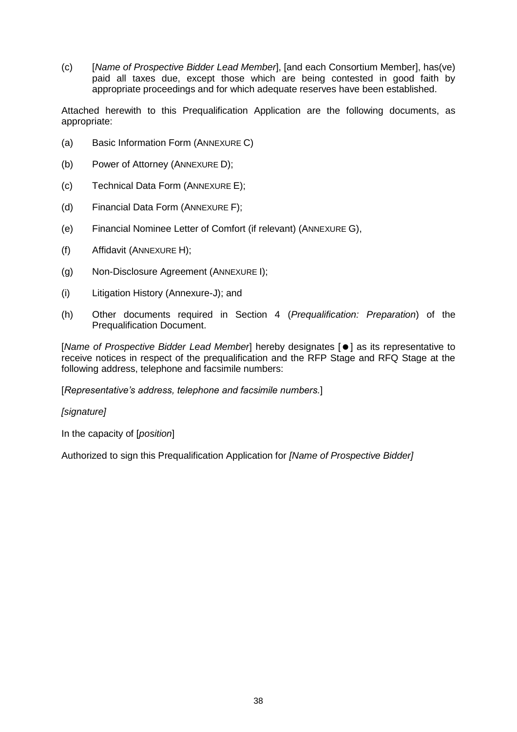(c) [*Name of Prospective Bidder Lead Member*], [and each Consortium Member], has(ve) paid all taxes due, except those which are being contested in good faith by appropriate proceedings and for which adequate reserves have been established.

Attached herewith to this Prequalification Application are the following documents, as appropriate:

- (a) Basic Information Form (ANNEXURE C)
- (b) Power of Attorney (ANNEXURE D);
- (c) Technical Data Form (ANNEXURE E);
- (d) Financial Data Form (ANNEXURE F);
- (e) Financial Nominee Letter of Comfort (if relevant) (ANNEXURE G),
- (f) Affidavit (ANNEXURE H);
- (g) Non-Disclosure Agreement (ANNEXURE I);
- (i) Litigation History (Annexure-J); and
- (h) Other documents required in Section 4 (*Prequalification: Preparation*) of the Prequalification Document.

[*Name of Prospective Bidder Lead Member*] hereby designates [ $\bullet$ ] as its representative to receive notices in respect of the prequalification and the RFP Stage and RFQ Stage at the following address, telephone and facsimile numbers:

[*Representative's address, telephone and facsimile numbers.*]

*[signature]*

In the capacity of [*position*]

Authorized to sign this Prequalification Application for *[Name of Prospective Bidder]*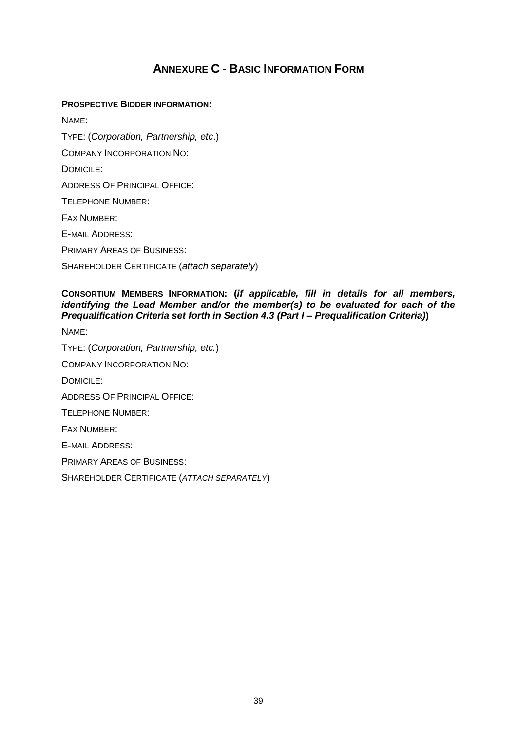### **PROSPECTIVE BIDDER INFORMATION:**

NAME: TYPE: (*Corporation, Partnership, etc*.) COMPANY INCORPORATION NO: DOMICILE: ADDRESS OF PRINCIPAL OFFICE: TELEPHONE NUMBER: FAX NUMBER: E-MAIL ADDRESS: PRIMARY AREAS OF BUSINESS: SHAREHOLDER CERTIFICATE (*attach separately*)

### **CONSORTIUM MEMBERS INFORMATION: (***if applicable, fill in details for all members, identifying the Lead Member and/or the member(s) to be evaluated for each of the Prequalification Criteria set forth in Section 4.3 (Part I – Prequalification Criteria)***)**

NAME:

TYPE: (*Corporation, Partnership, etc.*) COMPANY INCORPORATION NO: DOMICILE: ADDRESS OF PRINCIPAL OFFICE: TELEPHONE NUMBER: FAX NUMBER: E-MAIL ADDRESS: PRIMARY AREAS OF BUSINESS: SHAREHOLDER CERTIFICATE (*ATTACH SEPARATELY*)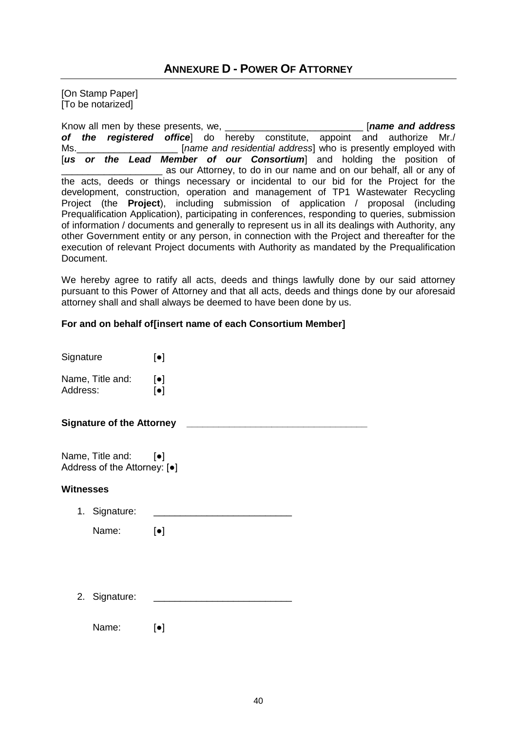# **ANNEXURE D - POWER OF ATTORNEY**

[On Stamp Paper] [To be notarized]

Know all men by these presents, we, \_\_\_\_\_\_\_\_\_\_\_\_\_\_\_\_\_\_\_\_\_\_\_\_\_\_ [*name and address of the registered office*] do hereby constitute, appoint and authorize Mr./ Ms.\_\_\_\_\_\_\_\_\_\_\_\_\_\_\_\_\_\_\_ [*name and residential address*] who is presently employed with [us or the Lead Member of our Consortium] and holding the position of as our Attorney, to do in our name and on our behalf, all or any of the acts, deeds or things necessary or incidental to our bid for the Project for the development, construction, operation and management of TP1 Wastewater Recycling Project (the **Project**), including submission of application / proposal (including Prequalification Application), participating in conferences, responding to queries, submission of information / documents and generally to represent us in all its dealings with Authority, any other Government entity or any person, in connection with the Project and thereafter for the execution of relevant Project documents with Authority as mandated by the Prequalification Document.

We hereby agree to ratify all acts, deeds and things lawfully done by our said attorney pursuant to this Power of Attorney and that all acts, deeds and things done by our aforesaid attorney shall and shall always be deemed to have been done by us.

### **For and on behalf of[insert name of each Consortium Member]**

| Signature        |                                                                | $\lbrack \bullet \rbrack$ |
|------------------|----------------------------------------------------------------|---------------------------|
| Address:         | Name, Title and: [•]                                           | $[\bullet]$               |
|                  | <b>Signature of the Attorney</b>                               |                           |
|                  | Name, Title and: [•]<br>Address of the Attorney: [ $\bullet$ ] |                           |
| <b>Witnesses</b> |                                                                |                           |
|                  | 1. Signature:                                                  |                           |
|                  | Name:                                                          | $\lbrack \bullet \rbrack$ |
|                  |                                                                |                           |
|                  | 2. Signature:                                                  |                           |
|                  | Name:                                                          | $\lbrack \bullet \rbrack$ |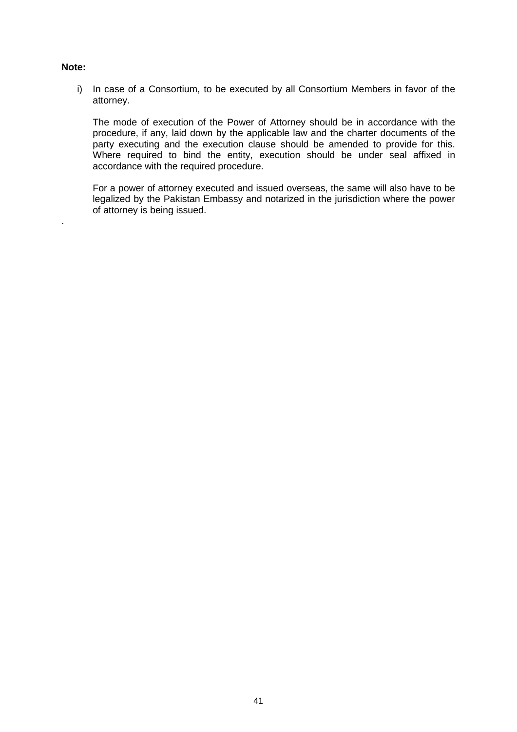### **Note:**

.

i) In case of a Consortium, to be executed by all Consortium Members in favor of the attorney.

The mode of execution of the Power of Attorney should be in accordance with the procedure, if any, laid down by the applicable law and the charter documents of the party executing and the execution clause should be amended to provide for this. Where required to bind the entity, execution should be under seal affixed in accordance with the required procedure.

For a power of attorney executed and issued overseas, the same will also have to be legalized by the Pakistan Embassy and notarized in the jurisdiction where the power of attorney is being issued.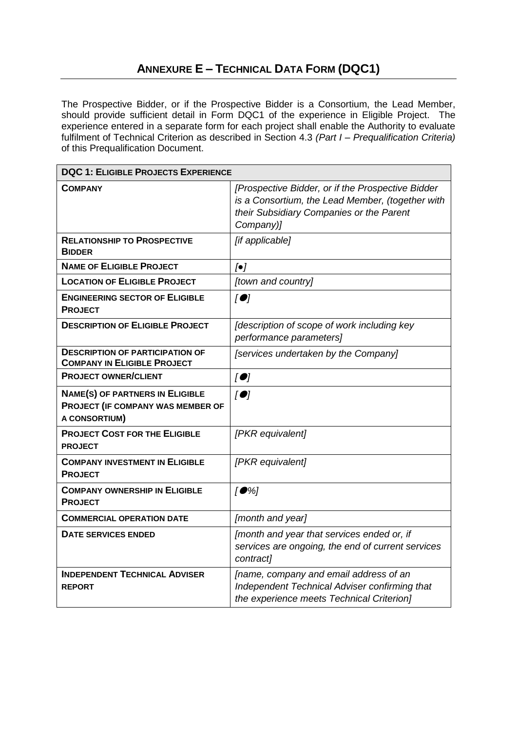The Prospective Bidder, or if the Prospective Bidder is a Consortium, the Lead Member, should provide sufficient detail in Form DQC1 of the experience in Eligible Project. The experience entered in a separate form for each project shall enable the Authority to evaluate fulfilment of Technical Criterion as described in Section 4.3 *(Part I – Prequalification Criteria)* of this Prequalification Document.

| <b>DQC 1: ELIGIBLE PROJECTS EXPERIENCE</b>                                                          |                                                                                                                                                                |  |  |
|-----------------------------------------------------------------------------------------------------|----------------------------------------------------------------------------------------------------------------------------------------------------------------|--|--|
| <b>COMPANY</b>                                                                                      | [Prospective Bidder, or if the Prospective Bidder<br>is a Consortium, the Lead Member, (together with<br>their Subsidiary Companies or the Parent<br>Company)] |  |  |
| <b>RELATIONSHIP TO PROSPECTIVE</b><br><b>BIDDER</b>                                                 | [if applicable]                                                                                                                                                |  |  |
| <b>NAME OF ELIGIBLE PROJECT</b>                                                                     | $[\bullet]$                                                                                                                                                    |  |  |
| <b>LOCATION OF ELIGIBLE PROJECT</b>                                                                 | [town and country]                                                                                                                                             |  |  |
| <b>ENGINEERING SECTOR OF ELIGIBLE</b><br><b>PROJECT</b>                                             | $\overline{1}$                                                                                                                                                 |  |  |
| <b>DESCRIPTION OF ELIGIBLE PROJECT</b>                                                              | [description of scope of work including key<br>performance parameters]                                                                                         |  |  |
| <b>DESCRIPTION OF PARTICIPATION OF</b><br><b>COMPANY IN ELIGIBLE PROJECT</b>                        | [services undertaken by the Company]                                                                                                                           |  |  |
| <b>PROJECT OWNER/CLIENT</b>                                                                         | [                                                                                                                                                              |  |  |
| <b>NAME(S) OF PARTNERS IN ELIGIBLE</b><br>PROJECT (IF COMPANY WAS MEMBER OF<br><b>A CONSORTIUM)</b> | $\overline{1}$                                                                                                                                                 |  |  |
| <b>PROJECT COST FOR THE ELIGIBLE</b><br><b>PROJECT</b>                                              | [PKR equivalent]                                                                                                                                               |  |  |
| <b>COMPANY INVESTMENT IN ELIGIBLE</b><br><b>PROJECT</b>                                             | [PKR equivalent]                                                                                                                                               |  |  |
| <b>COMPANY OWNERSHIP IN ELIGIBLE</b><br><b>PROJECT</b>                                              | $[•\%]$                                                                                                                                                        |  |  |
| <b>COMMERCIAL OPERATION DATE</b>                                                                    | [month and year]                                                                                                                                               |  |  |
| <b>DATE SERVICES ENDED</b>                                                                          | [month and year that services ended or, if<br>services are ongoing, the end of current services<br>contract]                                                   |  |  |
| <b>INDEPENDENT TECHNICAL ADVISER</b><br><b>REPORT</b>                                               | [name, company and email address of an<br>Independent Technical Adviser confirming that<br>the experience meets Technical Criterion]                           |  |  |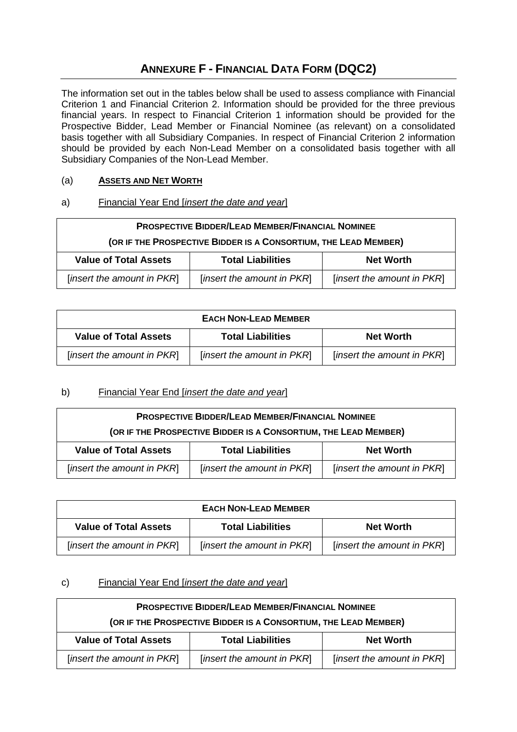# **ANNEXURE F - FINANCIAL DATA FORM (DQC2)**

The information set out in the tables below shall be used to assess compliance with Financial Criterion 1 and Financial Criterion 2. Information should be provided for the three previous financial years. In respect to Financial Criterion 1 information should be provided for the Prospective Bidder, Lead Member or Financial Nominee (as relevant) on a consolidated basis together with all Subsidiary Companies. In respect of Financial Criterion 2 information should be provided by each Non-Lead Member on a consolidated basis together with all Subsidiary Companies of the Non-Lead Member.

### (a) **ASSETS AND NET WORTH**

### a) Financial Year End [*insert the date and year*]

| <b>PROSPECTIVE BIDDER/LEAD MEMBER/FINANCIAL NOMINEE</b>                                |  |  |  |
|----------------------------------------------------------------------------------------|--|--|--|
| (OR IF THE PROSPECTIVE BIDDER IS A CONSORTIUM, THE LEAD MEMBER)                        |  |  |  |
| <b>Value of Total Assets</b><br><b>Total Liabilities</b><br><b>Net Worth</b>           |  |  |  |
| [insert the amount in PKR]<br>[insert the amount in PKR]<br>[insert the amount in PKR] |  |  |  |

| <b>EACH NON-LEAD MEMBER</b>                              |                            |                            |  |
|----------------------------------------------------------|----------------------------|----------------------------|--|
| <b>Value of Total Assets</b><br><b>Total Liabilities</b> |                            | <b>Net Worth</b>           |  |
| [insert the amount in PKR]                               | [insert the amount in PKR] | [insert the amount in PKR] |  |

## b) Financial Year End [*insert the date and year*]

| <b>PROSPECTIVE BIDDER/LEAD MEMBER/FINANCIAL NOMINEE</b>                      |                            |  |  |
|------------------------------------------------------------------------------|----------------------------|--|--|
| (OR IF THE PROSPECTIVE BIDDER IS A CONSORTIUM, THE LEAD MEMBER)              |                            |  |  |
| <b>Value of Total Assets</b><br><b>Total Liabilities</b><br><b>Net Worth</b> |                            |  |  |
| [insert the amount in PKR]                                                   | [insert the amount in PKR] |  |  |

| <b>EACH NON-LEAD MEMBER</b>  |                            |                            |  |
|------------------------------|----------------------------|----------------------------|--|
| <b>Value of Total Assets</b> | <b>Net Worth</b>           |                            |  |
| [insert the amount in PKR]   | [insert the amount in PKR] | [insert the amount in PKR] |  |

## c) Financial Year End [*insert the date and year*]

| <b>PROSPECTIVE BIDDER/LEAD MEMBER/FINANCIAL NOMINEE</b>                                |  |  |  |
|----------------------------------------------------------------------------------------|--|--|--|
| (OR IF THE PROSPECTIVE BIDDER IS A CONSORTIUM, THE LEAD MEMBER)                        |  |  |  |
| <b>Value of Total Assets</b><br><b>Total Liabilities</b><br><b>Net Worth</b>           |  |  |  |
| [insert the amount in PKR]<br>[insert the amount in PKR]<br>[insert the amount in PKR] |  |  |  |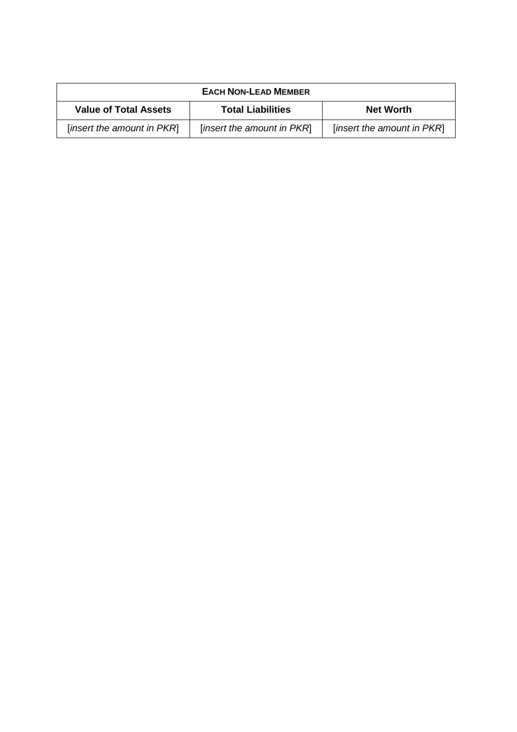| <b>EACH NON-LEAD MEMBER</b>  |                            |                            |  |
|------------------------------|----------------------------|----------------------------|--|
| <b>Value of Total Assets</b> | <b>Net Worth</b>           |                            |  |
| [insert the amount in PKR]   | [insert the amount in PKR] | [insert the amount in PKR] |  |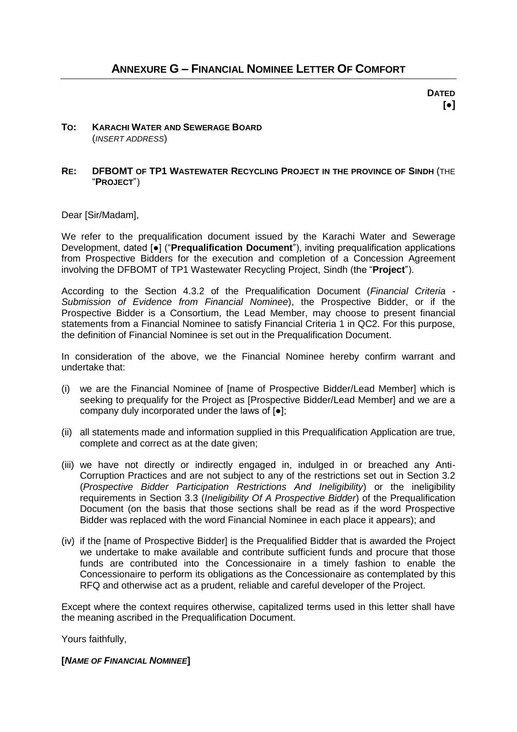**DATED [●]**

### **TO: KARACHI WATER AND SEWERAGE BOARD** (*INSERT ADDRESS*)

#### **RE: DFBOMT OF TP1 WASTEWATER RECYCLING PROJECT IN THE PROVINCE OF SINDH** (THE "**PROJECT**")

Dear [Sir/Madam],

We refer to the prequalification document issued by the Karachi Water and Sewerage Development, dated [●] ("**Prequalification Document**"), inviting prequalification applications from Prospective Bidders for the execution and completion of a Concession Agreement involving the DFBOMT of TP1 Wastewater Recycling Project, Sindh (the "**Project**").

According to the Section [4.3.2](#page-26-1) of the Prequalification Document (*Financial Criteria - Submission of Evidence from Financial Nominee*), the Prospective Bidder, or if the Prospective Bidder is a Consortium, the Lead Member, may choose to present financial statements from a Financial Nominee to satisfy Financial Criteria 1 in QC2. For this purpose, the definition of Financial Nominee is set out in the Prequalification Document.

In consideration of the above, we the Financial Nominee hereby confirm warrant and undertake that:

- (i) we are the Financial Nominee of [name of Prospective Bidder/Lead Member] which is seeking to prequalify for the Project as [Prospective Bidder/Lead Member] and we are a company duly incorporated under the laws of [●];
- (ii) all statements made and information supplied in this Prequalification Application are true, complete and correct as at the date given;
- (iii) we have not directly or indirectly engaged in, indulged in or breached any Anti-Corruption Practices and are not subject to any of the restrictions set out in Section 3.2 (*Prospective Bidder Participation Restrictions And Ineligibility*) or the ineligibility requirements in Section 3.3 (*Ineligibility Of A Prospective Bidder*) of the Prequalification Document (on the basis that those sections shall be read as if the word Prospective Bidder was replaced with the word Financial Nominee in each place it appears); and
- (iv) if the [name of Prospective Bidder] is the Prequalified Bidder that is awarded the Project we undertake to make available and contribute sufficient funds and procure that those funds are contributed into the Concessionaire in a timely fashion to enable the Concessionaire to perform its obligations as the Concessionaire as contemplated by this RFQ and otherwise act as a prudent, reliable and careful developer of the Project.

Except where the context requires otherwise, capitalized terms used in this letter shall have the meaning ascribed in the Prequalification Document.

Yours faithfully,

**[***NAME OF FINANCIAL NOMINEE***]**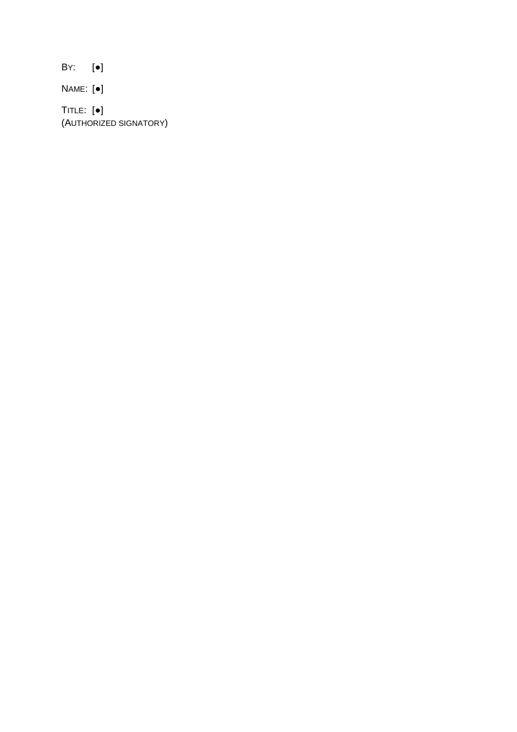BY: [●]

NAME: [●]

TITLE: [●] (AUTHORIZED SIGNATORY)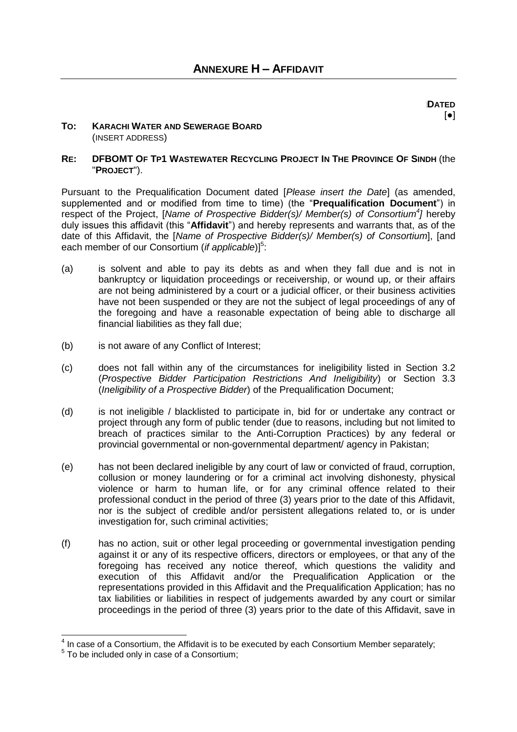#### **TO: KARACHI WATER AND SEWERAGE BOARD** (INSERT ADDRESS)

### RE: DEBOMT OF TP1 WASTEWATER RECYCLING PROJECT IN THE PROVINCE OF SINDH (the "**PROJECT**").

Pursuant to the Prequalification Document dated [*Please insert the Date*] (as amended, supplemented and or modified from time to time) (the "**Prequalification Document**") in respect of the Project, [*Name of Prospective Bidder(s)/ Member(s) of Consortium<sup>4</sup> ]* hereby duly issues this affidavit (this "**Affidavit**") and hereby represents and warrants that, as of the date of this Affidavit, the [*Name of Prospective Bidder(s)/ Member(s) of Consortium*], [and each member of our Consortium (*if applicable*)]<sup>5</sup>:

- (a) is solvent and able to pay its debts as and when they fall due and is not in bankruptcy or liquidation proceedings or receivership, or wound up, or their affairs are not being administered by a court or a judicial officer, or their business activities have not been suspended or they are not the subject of legal proceedings of any of the foregoing and have a reasonable expectation of being able to discharge all financial liabilities as they fall due;
- (b) is not aware of any Conflict of Interest;
- (c) does not fall within any of the circumstances for ineligibility listed in Section 3.2 (*Prospective Bidder Participation Restrictions And Ineligibility*) or Section 3.3 (*Ineligibility of a Prospective Bidder*) of the Prequalification Document;
- (d) is not ineligible / blacklisted to participate in, bid for or undertake any contract or project through any form of public tender (due to reasons, including but not limited to breach of practices similar to the Anti-Corruption Practices) by any federal or provincial governmental or non-governmental department/ agency in Pakistan;
- (e) has not been declared ineligible by any court of law or convicted of fraud, corruption, collusion or money laundering or for a criminal act involving dishonesty, physical violence or harm to human life, or for any criminal offence related to their professional conduct in the period of three (3) years prior to the date of this Affidavit, nor is the subject of credible and/or persistent allegations related to, or is under investigation for, such criminal activities;
- (f) has no action, suit or other legal proceeding or governmental investigation pending against it or any of its respective officers, directors or employees, or that any of the foregoing has received any notice thereof, which questions the validity and execution of this Affidavit and/or the Prequalification Application or the representations provided in this Affidavit and the Prequalification Application; has no tax liabilities or liabilities in respect of judgements awarded by any court or similar proceedings in the period of three (3) years prior to the date of this Affidavit, save in

 4 In case of a Consortium, the Affidavit is to be executed by each Consortium Member separately;

<sup>&</sup>lt;sup>5</sup> To be included only in case of a Consortium;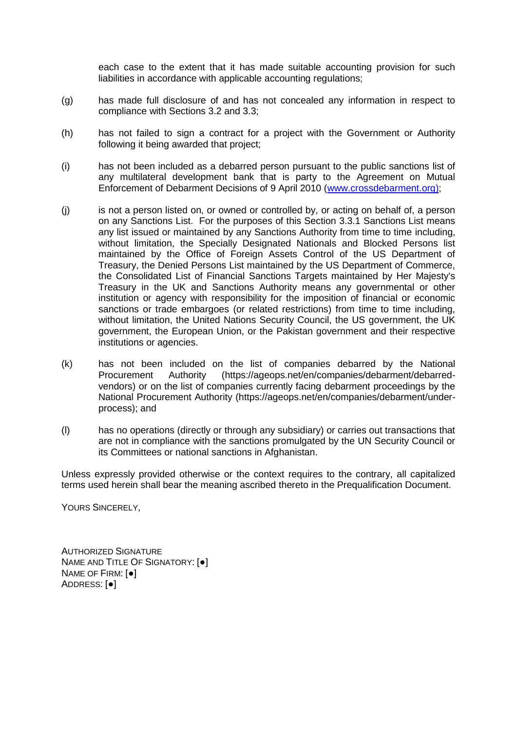each case to the extent that it has made suitable accounting provision for such liabilities in accordance with applicable accounting regulations;

- (g) has made full disclosure of and has not concealed any information in respect to compliance with Sections 3.2 and 3.3;
- (h) has not failed to sign a contract for a project with the Government or Authority following it being awarded that project;
- (i) has not been included as a debarred person pursuant to the public sanctions list of any multilateral development bank that is party to the Agreement on Mutual Enforcement of Debarment Decisions of 9 April 2010 [\(www.crossdebarment.org\);](http://www.crossdebarment.org)/)
- (j) is not a person listed on, or owned or controlled by, or acting on behalf of, a person on any Sanctions List. For the purposes of this Section 3.3.1 Sanctions List means any list issued or maintained by any Sanctions Authority from time to time including, without limitation, the Specially Designated Nationals and Blocked Persons list maintained by the Office of Foreign Assets Control of the US Department of Treasury, the Denied Persons List maintained by the US Department of Commerce, the Consolidated List of Financial Sanctions Targets maintained by Her Majesty's Treasury in the UK and Sanctions Authority means any governmental or other institution or agency with responsibility for the imposition of financial or economic sanctions or trade embargoes (or related restrictions) from time to time including, without limitation, the United Nations Security Council, the US government, the UK government, the European Union, or the Pakistan government and their respective institutions or agencies.
- (k) has not been included on the list of companies debarred by the National Procurement Authority (https://ageops.net/en/companies/debarment/debarredvendors) or on the list of companies currently facing debarment proceedings by the National Procurement Authority (https://ageops.net/en/companies/debarment/underprocess); and
- (l) has no operations (directly or through any subsidiary) or carries out transactions that are not in compliance with the sanctions promulgated by the UN Security Council or its Committees or national sanctions in Afghanistan.

Unless expressly provided otherwise or the context requires to the contrary, all capitalized terms used herein shall bear the meaning ascribed thereto in the Prequalification Document.

YOURS SINCERELY,

AUTHORIZED SIGNATURE NAME AND TITLE OF SIGNATORY: [●] NAME OF FIRM: [●] ADDRESS: [●]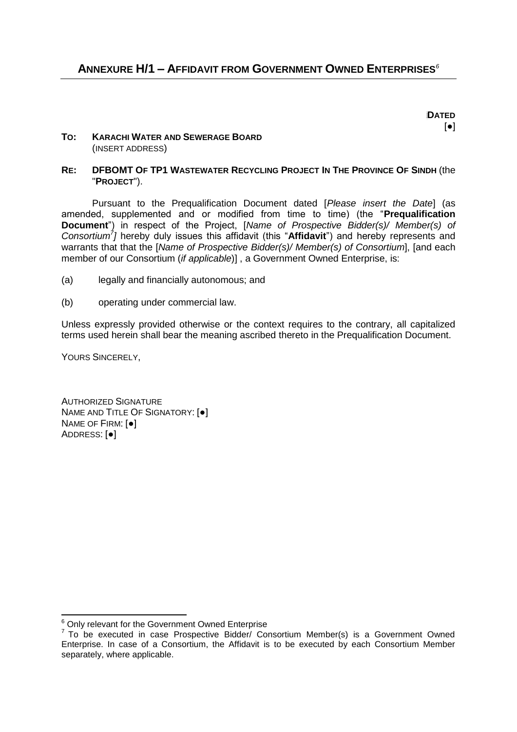Dajsshsoij**DATED**   $\lceil \bullet \rceil$ 

### **TO: KARACHI WATER AND SEWERAGE BOARD** (INSERT ADDRESS)

### RE: DFBOMT OF TP1 WASTEWATER RECYCLING PROJECT IN THE PROVINCE OF SINDH (the "**PROJECT**").

Pursuant to the Prequalification Document dated [*Please insert the Date*] (as amended, supplemented and or modified from time to time) (the "**Prequalification Document**") in respect of the Project, [*Name of Prospective Bidder(s)/ Member(s) of Consortium<sup>7</sup> ]* hereby duly issues this affidavit (this "**Affidavit**") and hereby represents and warrants that that the [*Name of Prospective Bidder(s)/ Member(s) of Consortium*], [and each member of our Consortium (*if applicable*)] , a Government Owned Enterprise, is:

- (a) legally and financially autonomous; and
- (b) operating under commercial law.

Unless expressly provided otherwise or the context requires to the contrary, all capitalized terms used herein shall bear the meaning ascribed thereto in the Prequalification Document.

YOURS SINCERELY,

-

AUTHORIZED SIGNATURE NAME AND TITLE OF SIGNATORY: [●] NAME OF FIRM: [●] ADDRESS: [●]

 $6$  Only relevant for the Government Owned Enterprise

 $7$  To be executed in case Prospective Bidder/ Consortium Member(s) is a Government Owned Enterprise. In case of a Consortium, the Affidavit is to be executed by each Consortium Member separately, where applicable.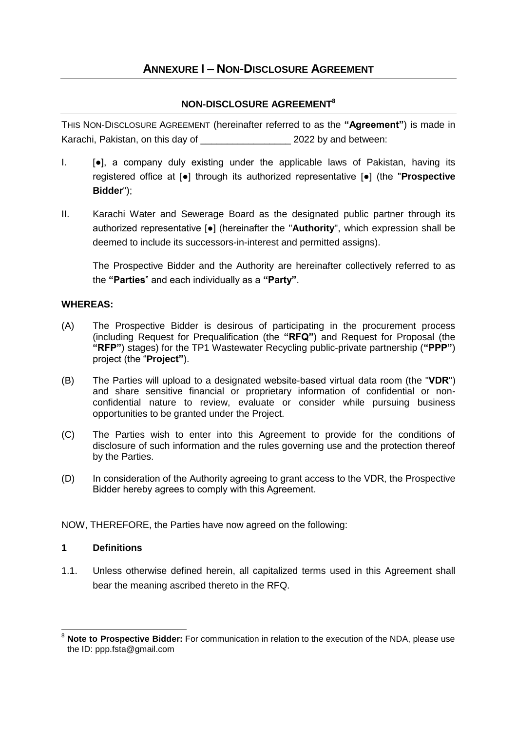# **ANNEXURE I – NON-DISCLOSURE AGREEMENT**

## **NON-DISCLOSURE AGREEMENT<sup>8</sup>**

THIS NON-DISCLOSURE AGREEMENT (hereinafter referred to as the **"Agreement"**) is made in Karachi, Pakistan, on this day of  $\sim$  2022 by and between:

- $I.$  [ $\bullet$ ], a company duly existing under the applicable laws of Pakistan, having its registered office at [●] through its authorized representative [●] (the "**Prospective Bidder**");
- II. Karachi Water and Sewerage Board as the designated public partner through its authorized representative [●] (hereinafter the "**Authority**", which expression shall be deemed to include its successors-in-interest and permitted assigns).

The Prospective Bidder and the Authority are hereinafter collectively referred to as the **"Parties**" and each individually as a **"Party"**.

### **WHEREAS:**

- (A) The Prospective Bidder is desirous of participating in the procurement process (including Request for Prequalification (the **"RFQ"**) and Request for Proposal (the **"RFP"**) stages) for the TP1 Wastewater Recycling public-private partnership (**"PPP"**) project (the "**Project"**).
- (B) The Parties will upload to a designated website-based virtual data room (the "**VDR**") and share sensitive financial or proprietary information of confidential or nonconfidential nature to review, evaluate or consider while pursuing business opportunities to be granted under the Project.
- (C) The Parties wish to enter into this Agreement to provide for the conditions of disclosure of such information and the rules governing use and the protection thereof by the Parties.
- (D) In consideration of the Authority agreeing to grant access to the VDR, the Prospective Bidder hereby agrees to comply with this Agreement.

NOW, THEREFORE, the Parties have now agreed on the following:

### **1 Definitions**

1.1. Unless otherwise defined herein, all capitalized terms used in this Agreement shall bear the meaning ascribed thereto in the RFQ.

<sup>1</sup> <sup>8</sup> **Note to Prospective Bidder:** For communication in relation to the execution of the NDA, please use the ID: ppp.fsta@gmail.com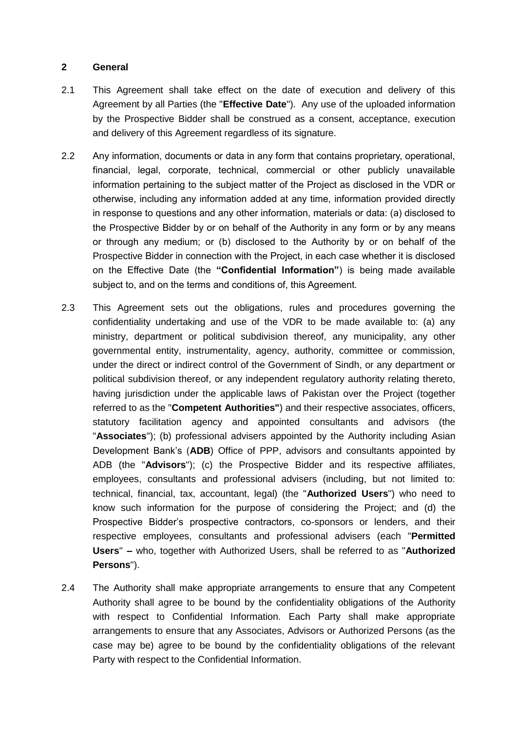### **2 General**

- 2.1 This Agreement shall take effect on the date of execution and delivery of this Agreement by all Parties (the "**Effective Date**"). Any use of the uploaded information by the Prospective Bidder shall be construed as a consent, acceptance, execution and delivery of this Agreement regardless of its signature.
- 2.2 Any information, documents or data in any form that contains proprietary, operational, financial, legal, corporate, technical, commercial or other publicly unavailable information pertaining to the subject matter of the Project as disclosed in the VDR or otherwise, including any information added at any time, information provided directly in response to questions and any other information, materials or data: (a) disclosed to the Prospective Bidder by or on behalf of the Authority in any form or by any means or through any medium; or (b) disclosed to the Authority by or on behalf of the Prospective Bidder in connection with the Project, in each case whether it is disclosed on the Effective Date (the **"Confidential Information"**) is being made available subject to, and on the terms and conditions of, this Agreement.
- 2.3 This Agreement sets out the obligations, rules and procedures governing the confidentiality undertaking and use of the VDR to be made available to: (a) any ministry, department or political subdivision thereof, any municipality, any other governmental entity, instrumentality, agency, authority, committee or commission, under the direct or indirect control of the Government of Sindh, or any department or political subdivision thereof, or any independent regulatory authority relating thereto, having jurisdiction under the applicable laws of Pakistan over the Project (together referred to as the "**Competent Authorities"**) and their respective associates, officers, statutory facilitation agency and appointed consultants and advisors (the "**Associates**"); (b) professional advisers appointed by the Authority including Asian Development Bank"s (**ADB**) Office of PPP, advisors and consultants appointed by ADB (the "**Advisors**"); (c) the Prospective Bidder and its respective affiliates, employees, consultants and professional advisers (including, but not limited to: technical, financial, tax, accountant, legal) (the "**Authorized Users**") who need to know such information for the purpose of considering the Project; and (d) the Prospective Bidder"s prospective contractors, co-sponsors or lenders, and their respective employees, consultants and professional advisers (each "**Permitted Users**" **–** who, together with Authorized Users, shall be referred to as "**Authorized Persons**").
- 2.4 The Authority shall make appropriate arrangements to ensure that any Competent Authority shall agree to be bound by the confidentiality obligations of the Authority with respect to Confidential Information. Each Party shall make appropriate arrangements to ensure that any Associates, Advisors or Authorized Persons (as the case may be) agree to be bound by the confidentiality obligations of the relevant Party with respect to the Confidential Information.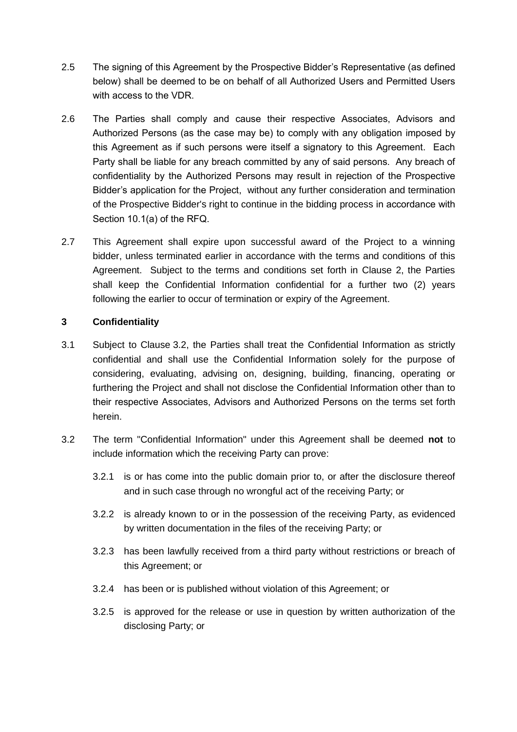- 2.5 The signing of this Agreement by the Prospective Bidder"s Representative (as defined below) shall be deemed to be on behalf of all Authorized Users and Permitted Users with access to the VDR.
- 2.6 The Parties shall comply and cause their respective Associates, Advisors and Authorized Persons (as the case may be) to comply with any obligation imposed by this Agreement as if such persons were itself a signatory to this Agreement. Each Party shall be liable for any breach committed by any of said persons. Any breach of confidentiality by the Authorized Persons may result in rejection of the Prospective Bidder"s application for the Project, without any further consideration and termination of the Prospective Bidder's right to continue in the bidding process in accordance with Section 10.1(a) of the RFQ.
- 2.7 This Agreement shall expire upon successful award of the Project to a winning bidder, unless terminated earlier in accordance with the terms and conditions of this Agreement. Subject to the terms and conditions set forth in Clause 2, the Parties shall keep the Confidential Information confidential for a further two (2) years following the earlier to occur of termination or expiry of the Agreement.

## **3 Confidentiality**

- 3.1 Subject to Clause [3.2,](#page-52-0) the Parties shall treat the Confidential Information as strictly confidential and shall use the Confidential Information solely for the purpose of considering, evaluating, advising on, designing, building, financing, operating or furthering the Project and shall not disclose the Confidential Information other than to their respective Associates, Advisors and Authorized Persons on the terms set forth herein.
- <span id="page-52-0"></span>3.2 The term "Confidential Information" under this Agreement shall be deemed **not** to include information which the receiving Party can prove:
	- 3.2.1 is or has come into the public domain prior to, or after the disclosure thereof and in such case through no wrongful act of the receiving Party; or
	- 3.2.2 is already known to or in the possession of the receiving Party, as evidenced by written documentation in the files of the receiving Party; or
	- 3.2.3 has been lawfully received from a third party without restrictions or breach of this Agreement; or
	- 3.2.4 has been or is published without violation of this Agreement; or
	- 3.2.5 is approved for the release or use in question by written authorization of the disclosing Party; or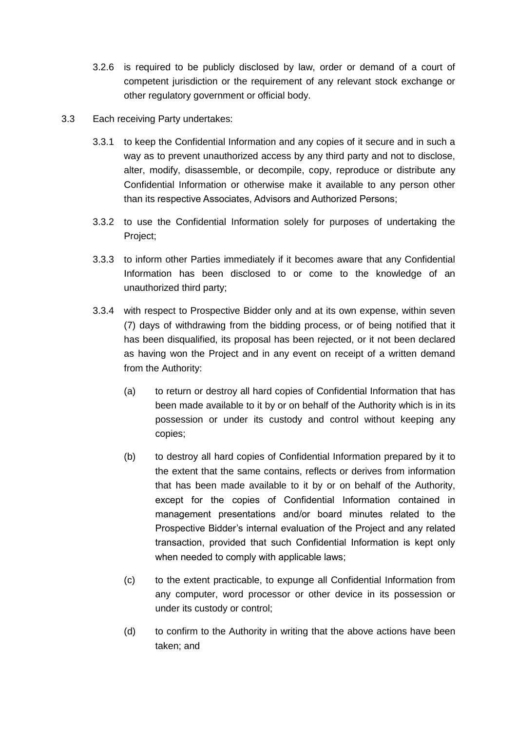- 3.2.6 is required to be publicly disclosed by law, order or demand of a court of competent jurisdiction or the requirement of any relevant stock exchange or other regulatory government or official body.
- 3.3 Each receiving Party undertakes:
	- 3.3.1 to keep the Confidential Information and any copies of it secure and in such a way as to prevent unauthorized access by any third party and not to disclose, alter, modify, disassemble, or decompile, copy, reproduce or distribute any Confidential Information or otherwise make it available to any person other than its respective Associates, Advisors and Authorized Persons;
	- 3.3.2 to use the Confidential Information solely for purposes of undertaking the Project;
	- 3.3.3 to inform other Parties immediately if it becomes aware that any Confidential Information has been disclosed to or come to the knowledge of an unauthorized third party;
	- 3.3.4 with respect to Prospective Bidder only and at its own expense, within seven (7) days of withdrawing from the bidding process, or of being notified that it has been disqualified, its proposal has been rejected, or it not been declared as having won the Project and in any event on receipt of a written demand from the Authority:
		- (a) to return or destroy all hard copies of Confidential Information that has been made available to it by or on behalf of the Authority which is in its possession or under its custody and control without keeping any copies;
		- (b) to destroy all hard copies of Confidential Information prepared by it to the extent that the same contains, reflects or derives from information that has been made available to it by or on behalf of the Authority, except for the copies of Confidential Information contained in management presentations and/or board minutes related to the Prospective Bidder"s internal evaluation of the Project and any related transaction, provided that such Confidential Information is kept only when needed to comply with applicable laws;
		- (c) to the extent practicable, to expunge all Confidential Information from any computer, word processor or other device in its possession or under its custody or control;
		- (d) to confirm to the Authority in writing that the above actions have been taken; and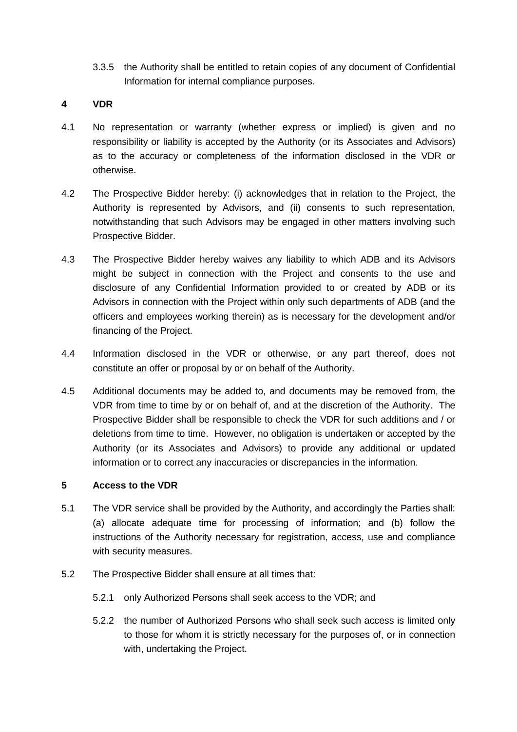3.3.5 the Authority shall be entitled to retain copies of any document of Confidential Information for internal compliance purposes.

### **4 VDR**

- 4.1 No representation or warranty (whether express or implied) is given and no responsibility or liability is accepted by the Authority (or its Associates and Advisors) as to the accuracy or completeness of the information disclosed in the VDR or otherwise.
- 4.2 The Prospective Bidder hereby: (i) acknowledges that in relation to the Project, the Authority is represented by Advisors, and (ii) consents to such representation, notwithstanding that such Advisors may be engaged in other matters involving such Prospective Bidder.
- 4.3 The Prospective Bidder hereby waives any liability to which ADB and its Advisors might be subject in connection with the Project and consents to the use and disclosure of any Confidential Information provided to or created by ADB or its Advisors in connection with the Project within only such departments of ADB (and the officers and employees working therein) as is necessary for the development and/or financing of the Project.
- 4.4 Information disclosed in the VDR or otherwise, or any part thereof, does not constitute an offer or proposal by or on behalf of the Authority.
- 4.5 Additional documents may be added to, and documents may be removed from, the VDR from time to time by or on behalf of, and at the discretion of the Authority. The Prospective Bidder shall be responsible to check the VDR for such additions and / or deletions from time to time. However, no obligation is undertaken or accepted by the Authority (or its Associates and Advisors) to provide any additional or updated information or to correct any inaccuracies or discrepancies in the information.

### **5 Access to the VDR**

- 5.1 The VDR service shall be provided by the Authority, and accordingly the Parties shall: (a) allocate adequate time for processing of information; and (b) follow the instructions of the Authority necessary for registration, access, use and compliance with security measures.
- 5.2 The Prospective Bidder shall ensure at all times that:
	- 5.2.1 only Authorized Persons shall seek access to the VDR; and
	- 5.2.2 the number of Authorized Persons who shall seek such access is limited only to those for whom it is strictly necessary for the purposes of, or in connection with, undertaking the Project.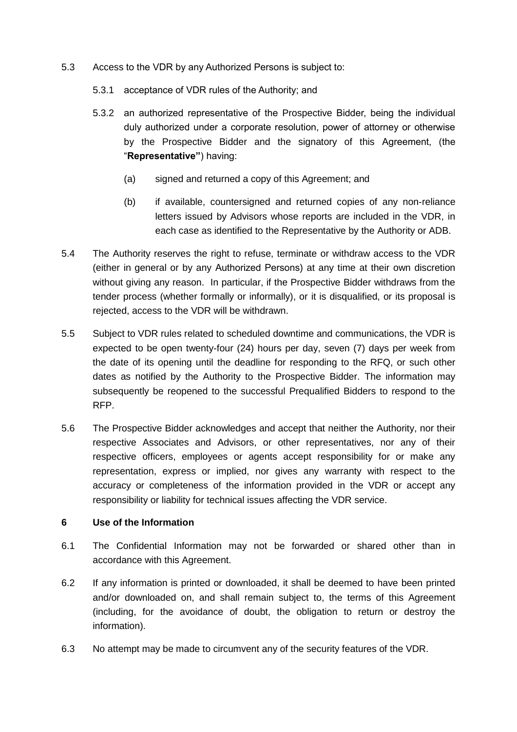- 5.3 Access to the VDR by any Authorized Persons is subject to:
	- 5.3.1 acceptance of VDR rules of the Authority; and
	- 5.3.2 an authorized representative of the Prospective Bidder, being the individual duly authorized under a corporate resolution, power of attorney or otherwise by the Prospective Bidder and the signatory of this Agreement, (the "**Representative"**) having:
		- (a) signed and returned a copy of this Agreement; and
		- (b) if available, countersigned and returned copies of any non-reliance letters issued by Advisors whose reports are included in the VDR, in each case as identified to the Representative by the Authority or ADB.
- 5.4 The Authority reserves the right to refuse, terminate or withdraw access to the VDR (either in general or by any Authorized Persons) at any time at their own discretion without giving any reason. In particular, if the Prospective Bidder withdraws from the tender process (whether formally or informally), or it is disqualified, or its proposal is rejected, access to the VDR will be withdrawn.
- 5.5 Subject to VDR rules related to scheduled downtime and communications, the VDR is expected to be open twenty-four (24) hours per day, seven (7) days per week from the date of its opening until the deadline for responding to the RFQ, or such other dates as notified by the Authority to the Prospective Bidder. The information may subsequently be reopened to the successful Prequalified Bidders to respond to the RFP.
- 5.6 The Prospective Bidder acknowledges and accept that neither the Authority, nor their respective Associates and Advisors, or other representatives, nor any of their respective officers, employees or agents accept responsibility for or make any representation, express or implied, nor gives any warranty with respect to the accuracy or completeness of the information provided in the VDR or accept any responsibility or liability for technical issues affecting the VDR service.

### **6 Use of the Information**

- 6.1 The Confidential Information may not be forwarded or shared other than in accordance with this Agreement.
- 6.2 If any information is printed or downloaded, it shall be deemed to have been printed and/or downloaded on, and shall remain subject to, the terms of this Agreement (including, for the avoidance of doubt, the obligation to return or destroy the information).
- 6.3 No attempt may be made to circumvent any of the security features of the VDR.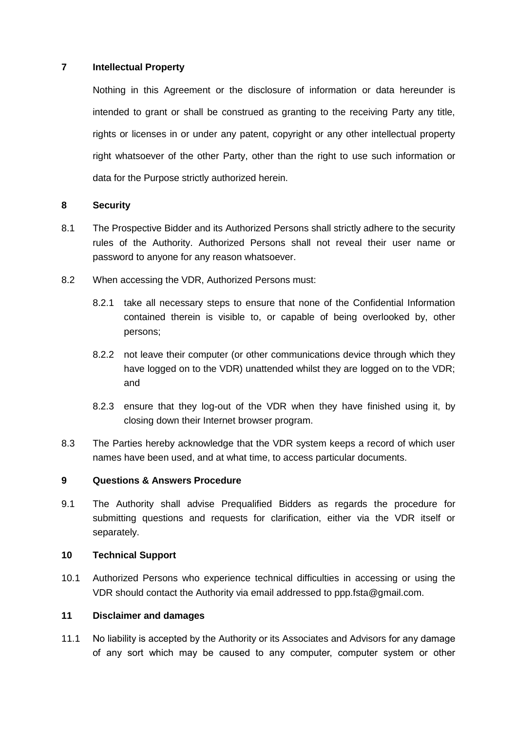### **7 Intellectual Property**

Nothing in this Agreement or the disclosure of information or data hereunder is intended to grant or shall be construed as granting to the receiving Party any title, rights or licenses in or under any patent, copyright or any other intellectual property right whatsoever of the other Party, other than the right to use such information or data for the Purpose strictly authorized herein.

### **8 Security**

- 8.1 The Prospective Bidder and its Authorized Persons shall strictly adhere to the security rules of the Authority. Authorized Persons shall not reveal their user name or password to anyone for any reason whatsoever.
- 8.2 When accessing the VDR, Authorized Persons must:
	- 8.2.1 take all necessary steps to ensure that none of the Confidential Information contained therein is visible to, or capable of being overlooked by, other persons;
	- 8.2.2 not leave their computer (or other communications device through which they have logged on to the VDR) unattended whilst they are logged on to the VDR; and
	- 8.2.3 ensure that they log-out of the VDR when they have finished using it, by closing down their Internet browser program.
- 8.3 The Parties hereby acknowledge that the VDR system keeps a record of which user names have been used, and at what time, to access particular documents.

### **9 Questions & Answers Procedure**

9.1 The Authority shall advise Prequalified Bidders as regards the procedure for submitting questions and requests for clarification, either via the VDR itself or separately.

### **10 Technical Support**

10.1 Authorized Persons who experience technical difficulties in accessing or using the VDR should contact the Authority via email addressed to ppp.fsta@gmail.com.

### **11 Disclaimer and damages**

11.1 No liability is accepted by the Authority or its Associates and Advisors for any damage of any sort which may be caused to any computer, computer system or other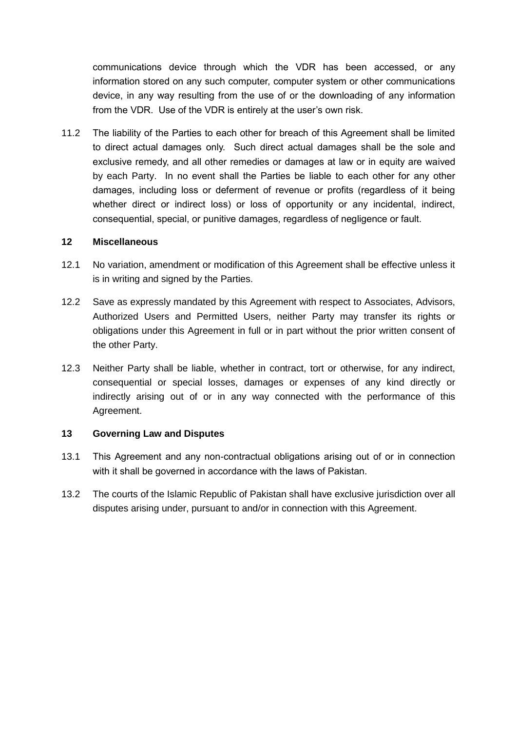communications device through which the VDR has been accessed, or any information stored on any such computer, computer system or other communications device, in any way resulting from the use of or the downloading of any information from the VDR. Use of the VDR is entirely at the user's own risk.

11.2 The liability of the Parties to each other for breach of this Agreement shall be limited to direct actual damages only. Such direct actual damages shall be the sole and exclusive remedy, and all other remedies or damages at law or in equity are waived by each Party. In no event shall the Parties be liable to each other for any other damages, including loss or deferment of revenue or profits (regardless of it being whether direct or indirect loss) or loss of opportunity or any incidental, indirect, consequential, special, or punitive damages, regardless of negligence or fault.

### **12 Miscellaneous**

- 12.1 No variation, amendment or modification of this Agreement shall be effective unless it is in writing and signed by the Parties.
- 12.2 Save as expressly mandated by this Agreement with respect to Associates, Advisors, Authorized Users and Permitted Users, neither Party may transfer its rights or obligations under this Agreement in full or in part without the prior written consent of the other Party.
- 12.3 Neither Party shall be liable, whether in contract, tort or otherwise, for any indirect, consequential or special losses, damages or expenses of any kind directly or indirectly arising out of or in any way connected with the performance of this Agreement.

### **13 Governing Law and Disputes**

- 13.1 This Agreement and any non-contractual obligations arising out of or in connection with it shall be governed in accordance with the laws of Pakistan.
- 13.2 The courts of the Islamic Republic of Pakistan shall have exclusive jurisdiction over all disputes arising under, pursuant to and/or in connection with this Agreement.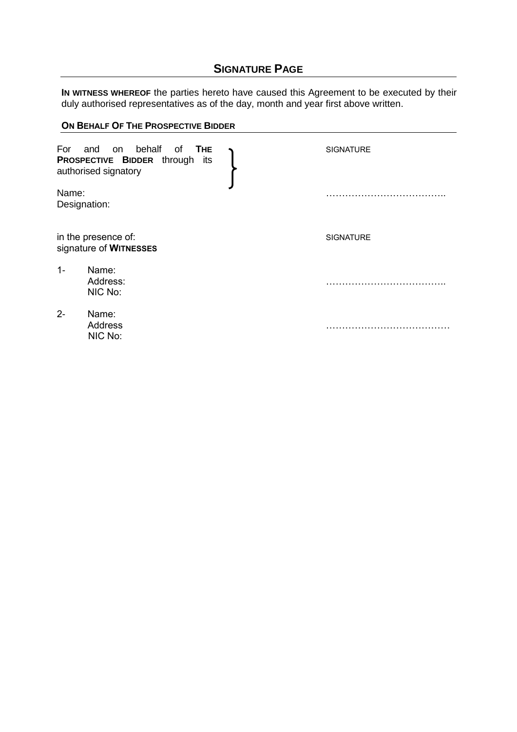# **SIGNATURE PAGE**

**IN WITNESS WHEREOF** the parties hereto have caused this Agreement to be executed by their duly authorised representatives as of the day, month and year first above written.

|       | ON BEHALF OF THE PROSPECTIVE BIDDER                                                                  |  |                  |  |
|-------|------------------------------------------------------------------------------------------------------|--|------------------|--|
| For   | behalf<br>and<br>on<br>of<br><b>THE</b><br>PROSPECTIVE BIDDER through<br>its<br>authorised signatory |  | <b>SIGNATURE</b> |  |
| Name: | Designation:                                                                                         |  |                  |  |
|       | in the presence of:<br>signature of WITNESSES                                                        |  | <b>SIGNATURE</b> |  |
| $1 -$ | Name:<br>Address:<br>NIC No:                                                                         |  |                  |  |
| $2 -$ | Name:<br>Address<br>NIC No:                                                                          |  |                  |  |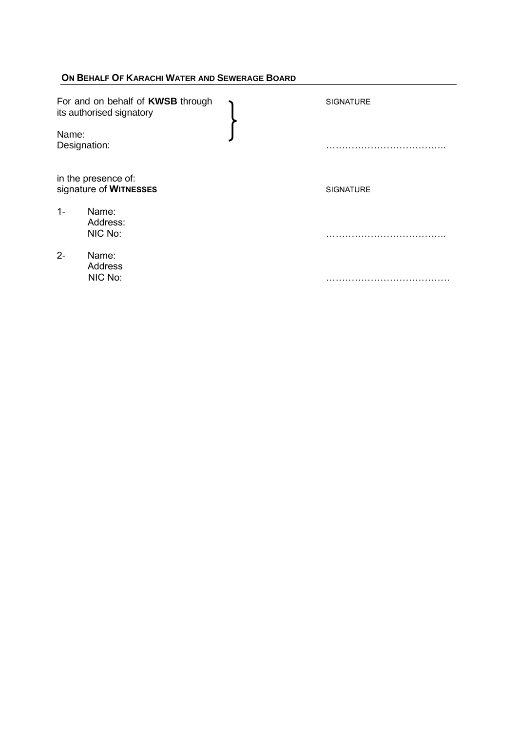## **ON BEHALF OF KARACHI WATER AND SEWERAGE BOARD**

| For and on behalf of KWSB through<br>its authorised signatory |                                               | <b>SIGNATURE</b> |
|---------------------------------------------------------------|-----------------------------------------------|------------------|
| Name:<br>Designation:                                         |                                               |                  |
|                                                               | in the presence of:<br>signature of WITNESSES | <b>SIGNATURE</b> |
| $1 -$                                                         | Name:<br>Address:<br>NIC No:                  |                  |
| $2 -$                                                         | Name:<br><b>Address</b><br>NIC No:            |                  |